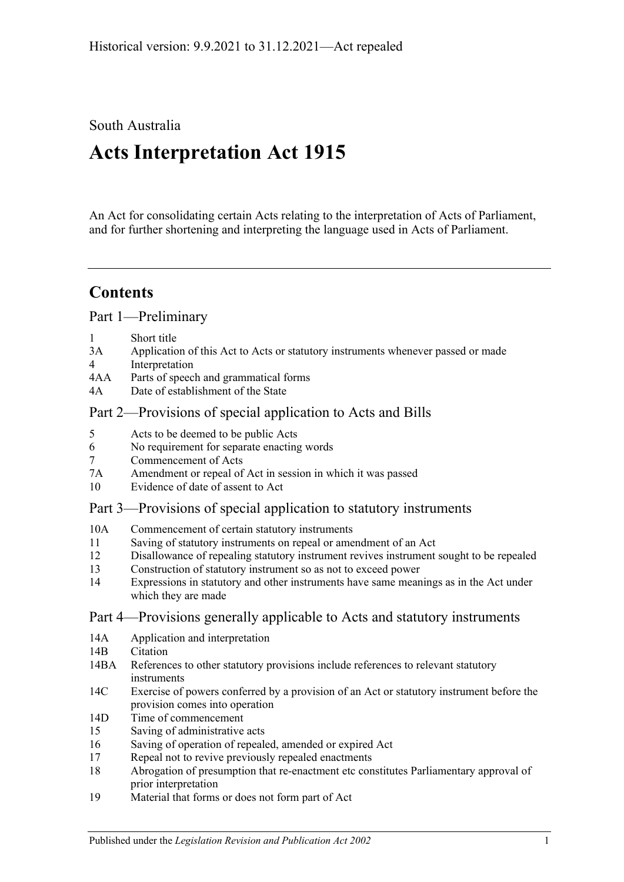# South Australia

# **Acts Interpretation Act 1915**

An Act for consolidating certain Acts relating to the interpretation of Acts of Parliament, and for further shortening and interpreting the language used in Acts of Parliament.

# **Contents**

[Part 1—Preliminary](#page-1-0)

- 1 [Short title](#page-1-1)
- 3A [Application of this Act to Acts or statutory instruments whenever passed or made](#page-1-2)
- 4 [Interpretation](#page-2-0)
- 4AA [Parts of speech and grammatical forms](#page-6-0)
- 4A [Date of establishment of the State](#page-7-0)

# [Part 2—Provisions of special application to Acts and Bills](#page-7-1)

- 5 [Acts to be deemed to be public Acts](#page-7-2)
- 6 [No requirement for separate enacting words](#page-7-3)
- 7 [Commencement of Acts](#page-7-4)
- 7A [Amendment or repeal of Act in session in which it was passed](#page-7-5)
- 10 [Evidence of date of assent to Act](#page-8-0)

# [Part 3—Provisions of special application to statutory instruments](#page-8-1)

- 10A [Commencement of certain statutory instruments](#page-8-2)
- 11 [Saving of statutory instruments on repeal or amendment of an Act](#page-8-3)
- 12 [Disallowance of repealing statutory instrument revives instrument sought to](#page-8-4) be repealed
- 13 [Construction of statutory instrument so as not to exceed power](#page-8-5)
- 14 [Expressions in statutory and other instruments have same meanings as in the Act under](#page-9-0)  [which they are made](#page-9-0)

# [Part 4—Provisions generally applicable to Acts and statutory instruments](#page-9-1)

- 14A [Application and interpretation](#page-9-2)
- 14B [Citation](#page-9-3)
- 14BA [References to other statutory provisions include references to relevant statutory](#page-10-0)  [instruments](#page-10-0)
- 14C [Exercise of powers conferred by a provision of an Act or statutory instrument before the](#page-10-1)  [provision comes into operation](#page-10-1)
- 14D [Time of commencement](#page-10-2)
- 15 [Saving of administrative acts](#page-11-0)
- 16 [Saving of operation of repealed, amended or expired Act](#page-11-1)
- 17 [Repeal not to revive previously repealed enactments](#page-12-0)
- 18 [Abrogation of presumption that re-enactment etc constitutes Parliamentary approval of](#page-12-1)  [prior interpretation](#page-12-1)
- 19 [Material that forms or does not form part of Act](#page-12-2)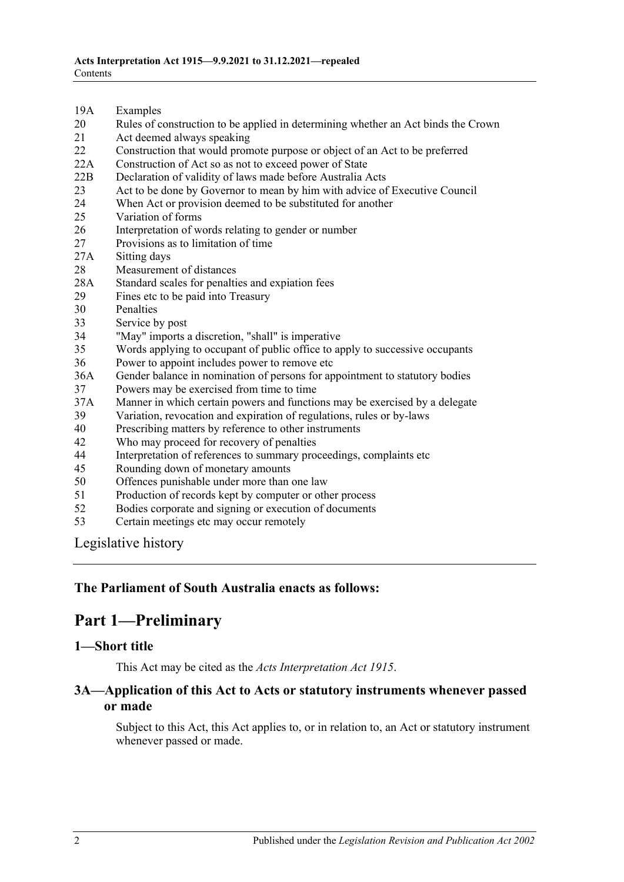- 19A [Examples](#page-12-3)
- 20 [Rules of construction to be applied in determining whether an Act binds the Crown](#page-13-0)
- 21 [Act deemed always speaking](#page-13-1)
- 22 [Construction that would promote purpose or object of an Act to be preferred](#page-13-2)
- 22A [Construction of Act so as not to exceed power of State](#page-13-3)
- 22B [Declaration of validity of laws made before Australia Acts](#page-14-0)
- 23 [Act to be done by Governor to mean by him with advice of Executive Council](#page-14-1)
- 24 [When Act or provision deemed to be substituted for another](#page-14-2)<br>25 Variation of forms
- [Variation of forms](#page-14-3)
- 26 [Interpretation of words relating to gender or number](#page-14-4)
- 27 [Provisions as to limitation of time](#page-15-0)
- 27A [Sitting days](#page-15-1)
- 28 [Measurement of distances](#page-15-2)
- 28A [Standard scales for penalties and expiation fees](#page-15-3)
- 29 [Fines etc to be paid into Treasury](#page-16-0)
- 30 [Penalties](#page-16-1)
- 33 [Service by post](#page-16-2)
- 34 ["May" imports a discretion, "shall" is imperative](#page-17-0)
- 35 [Words applying to occupant of public office to apply to successive occupants](#page-17-1)
- 36 [Power to appoint includes power to remove etc](#page-17-2)
- 36A [Gender balance in nomination of persons for appointment to statutory bodies](#page-17-3)
- 37 [Powers may be exercised from time to time](#page-18-0)
- 37A [Manner in which certain powers and functions may be exercised by a delegate](#page-18-1)
- 39 [Variation, revocation and expiration of regulations, rules or by-laws](#page-18-2)
- 40 [Prescribing matters by reference to other instruments](#page-19-0)
- 42 [Who may proceed for recovery of penalties](#page-19-1)
- 44 [Interpretation of references to summary proceedings, complaints](#page-19-2) etc
- 45 [Rounding down of monetary amounts](#page-20-0)
- 50 [Offences punishable under more than one law](#page-20-1)
- 51 [Production of records kept by computer or other process](#page-20-2)
- 52 [Bodies corporate and signing or execution of documents](#page-20-3)
- 53 [Certain meetings etc may occur remotely](#page-20-4)

[Legislative history](#page-21-0)

#### <span id="page-1-0"></span>**The Parliament of South Australia enacts as follows:**

# **Part 1—Preliminary**

#### <span id="page-1-1"></span>**1—Short title**

This Act may be cited as the *Acts Interpretation Act 1915*.

#### <span id="page-1-2"></span>**3A—Application of this Act to Acts or statutory instruments whenever passed or made**

Subject to this Act, this Act applies to, or in relation to, an Act or statutory instrument whenever passed or made.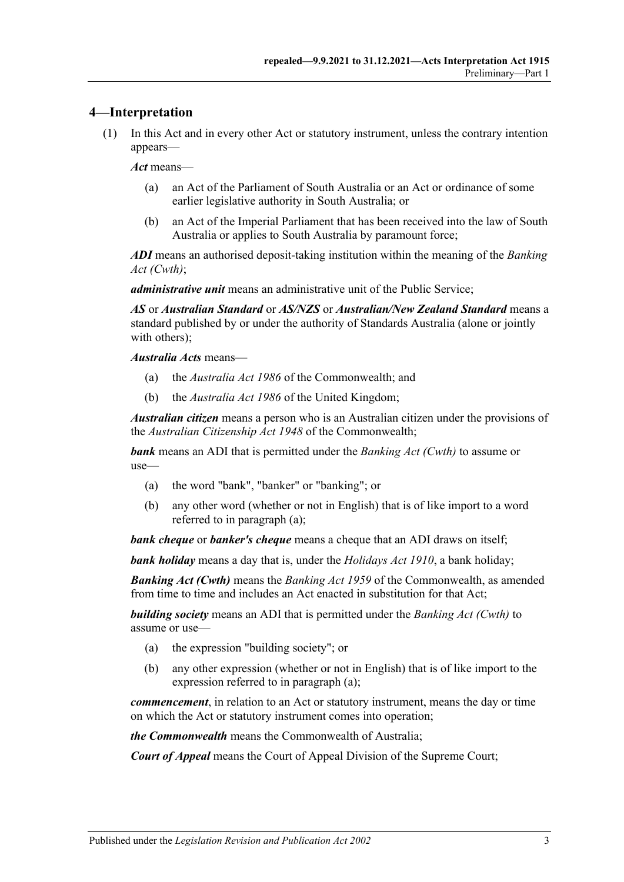## <span id="page-2-0"></span>**4—Interpretation**

(1) In this Act and in every other Act or statutory instrument, unless the contrary intention appears—

*Act* means—

- (a) an Act of the Parliament of South Australia or an Act or ordinance of some earlier legislative authority in South Australia; or
- (b) an Act of the Imperial Parliament that has been received into the law of South Australia or applies to South Australia by paramount force;

*ADI* means an authorised deposit-taking institution within the meaning of the *Banking Act (Cwth)*;

*administrative unit* means an administrative unit of the Public Service;

*AS* or *Australian Standard* or *AS/NZS* or *Australian/New Zealand Standard* means a standard published by or under the authority of Standards Australia (alone or jointly with others);

*Australia Acts* means—

- (a) the *Australia Act 1986* of the Commonwealth; and
- (b) the *Australia Act 1986* of the United Kingdom;

*Australian citizen* means a person who is an Australian citizen under the provisions of the *Australian Citizenship Act 1948* of the Commonwealth;

<span id="page-2-1"></span>*bank* means an ADI that is permitted under the *Banking Act (Cwth)* to assume or use—

- (a) the word "bank", "banker" or "banking"; or
- (b) any other word (whether or not in English) that is of like import to a word referred to in [paragraph](#page-2-1) (a);

*bank cheque* or *banker's cheque* means a cheque that an ADI draws on itself;

*bank holiday* means a day that is, under the *[Holidays Act](http://www.legislation.sa.gov.au/index.aspx?action=legref&type=act&legtitle=Holidays%20Act%201910) 1910*, a bank holiday;

*Banking Act (Cwth)* means the *Banking Act 1959* of the Commonwealth, as amended from time to time and includes an Act enacted in substitution for that Act;

<span id="page-2-2"></span>*building society* means an ADI that is permitted under the *Banking Act (Cwth)* to assume or use—

- (a) the expression "building society"; or
- (b) any other expression (whether or not in English) that is of like import to the expression referred to in [paragraph](#page-2-2) (a);

*commencement*, in relation to an Act or statutory instrument, means the day or time on which the Act or statutory instrument comes into operation;

*the Commonwealth* means the Commonwealth of Australia;

*Court of Appeal* means the Court of Appeal Division of the Supreme Court;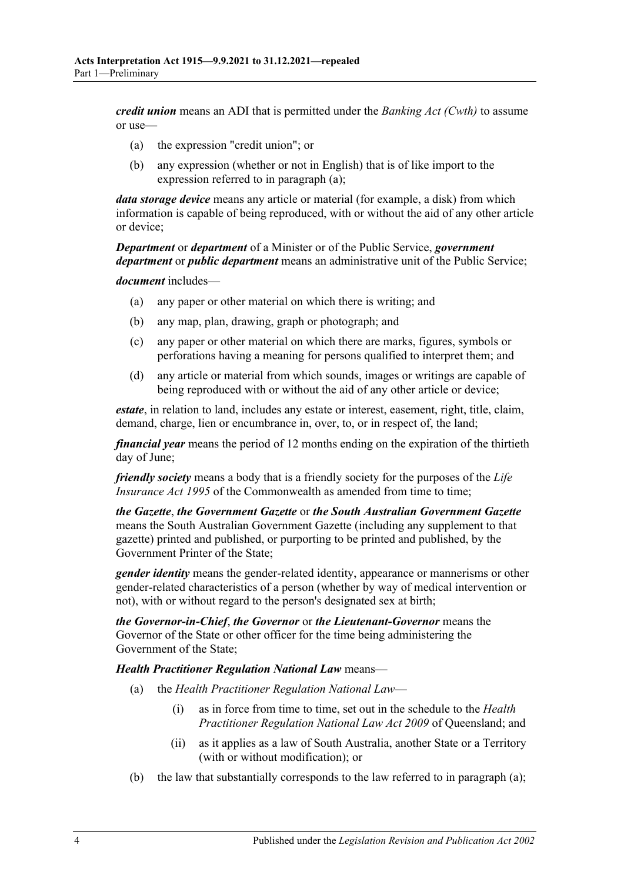<span id="page-3-0"></span>*credit union* means an ADI that is permitted under the *Banking Act (Cwth)* to assume or use—

- (a) the expression "credit union"; or
- (b) any expression (whether or not in English) that is of like import to the expression referred to in [paragraph](#page-3-0) (a);

*data storage device* means any article or material (for example, a disk) from which information is capable of being reproduced, with or without the aid of any other article or device;

*Department* or *department* of a Minister or of the Public Service, *government department* or *public department* means an administrative unit of the Public Service;

*document* includes—

- (a) any paper or other material on which there is writing; and
- (b) any map, plan, drawing, graph or photograph; and
- (c) any paper or other material on which there are marks, figures, symbols or perforations having a meaning for persons qualified to interpret them; and
- (d) any article or material from which sounds, images or writings are capable of being reproduced with or without the aid of any other article or device;

*estate*, in relation to land, includes any estate or interest, easement, right, title, claim, demand, charge, lien or encumbrance in, over, to, or in respect of, the land;

*financial year* means the period of 12 months ending on the expiration of the thirtieth day of June;

*friendly society* means a body that is a friendly society for the purposes of the *Life Insurance Act 1995* of the Commonwealth as amended from time to time;

*the Gazette*, *the Government Gazette* or *the South Australian Government Gazette* means the South Australian Government Gazette (including any supplement to that gazette) printed and published, or purporting to be printed and published, by the Government Printer of the State;

*gender identity* means the gender-related identity, appearance or mannerisms or other gender-related characteristics of a person (whether by way of medical intervention or not), with or without regard to the person's designated sex at birth;

*the Governor-in-Chief*, *the Governor* or *the Lieutenant-Governor* means the Governor of the State or other officer for the time being administering the Government of the State;

<span id="page-3-1"></span>*Health Practitioner Regulation National Law* means—

- (a) the *Health Practitioner Regulation National Law*
	- (i) as in force from time to time, set out in the schedule to the *Health Practitioner Regulation National Law Act 2009* of Queensland; and
	- (ii) as it applies as a law of South Australia, another State or a Territory (with or without modification); or
- (b) the law that substantially corresponds to the law referred to in [paragraph](#page-3-1) (a);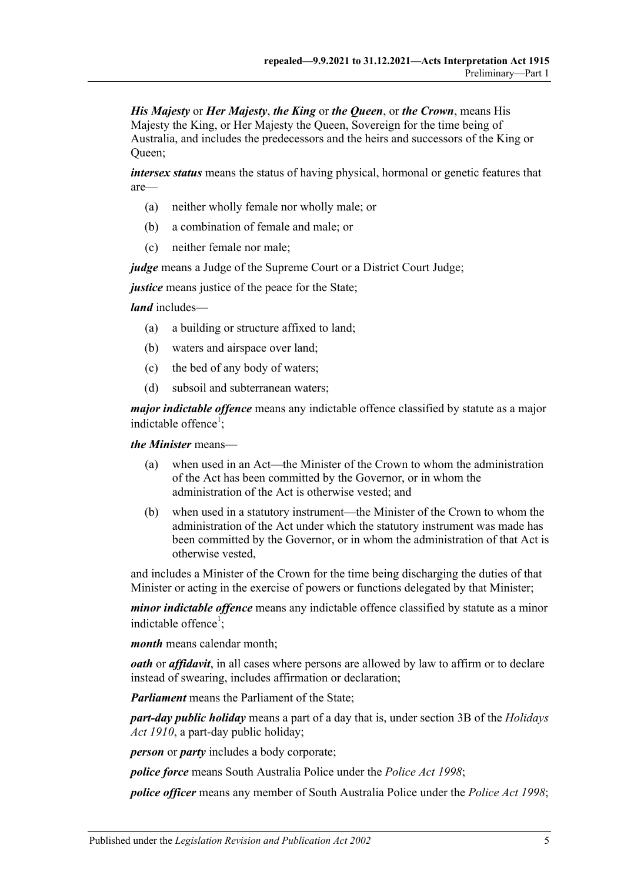*His Majesty* or *Her Majesty*, *the King* or *the Queen*, or *the Crown*, means His Majesty the King, or Her Majesty the Queen, Sovereign for the time being of Australia, and includes the predecessors and the heirs and successors of the King or Queen;

*intersex status* means the status of having physical, hormonal or genetic features that are—

- (a) neither wholly female nor wholly male; or
- (b) a combination of female and male; or
- (c) neither female nor male;

*judge* means a Judge of the Supreme Court or a District Court Judge;

*justice* means justice of the peace for the State;

*land* includes—

- (a) a building or structure affixed to land;
- (b) waters and airspace over land;
- (c) the bed of any body of waters;
- (d) subsoil and subterranean waters;

*major indictable offence* means any indictable offence classified by statute as a major indictable offence<sup>1</sup>;

*the Minister* means—

- (a) when used in an Act—the Minister of the Crown to whom the administration of the Act has been committed by the Governor, or in whom the administration of the Act is otherwise vested; and
- (b) when used in a statutory instrument—the Minister of the Crown to whom the administration of the Act under which the statutory instrument was made has been committed by the Governor, or in whom the administration of that Act is otherwise vested,

and includes a Minister of the Crown for the time being discharging the duties of that Minister or acting in the exercise of powers or functions delegated by that Minister;

*minor indictable offence* means any indictable offence classified by statute as a minor indictable offence<sup>1</sup>;

*month* means calendar month;

*oath* or *affidavit*, in all cases where persons are allowed by law to affirm or to declare instead of swearing, includes affirmation or declaration;

*Parliament* means the Parliament of the State;

*part-day public holiday* means a part of a day that is, under section 3B of the *[Holidays](http://www.legislation.sa.gov.au/index.aspx?action=legref&type=act&legtitle=Holidays%20Act%201910)  Act [1910](http://www.legislation.sa.gov.au/index.aspx?action=legref&type=act&legtitle=Holidays%20Act%201910)*, a part-day public holiday;

*person* or *party* includes a body corporate;

*police force* means South Australia Police under the *[Police Act](http://www.legislation.sa.gov.au/index.aspx?action=legref&type=act&legtitle=Police%20Act%201998) 1998*;

*police officer* means any member of South Australia Police under the *[Police Act](http://www.legislation.sa.gov.au/index.aspx?action=legref&type=act&legtitle=Police%20Act%201998) 1998*;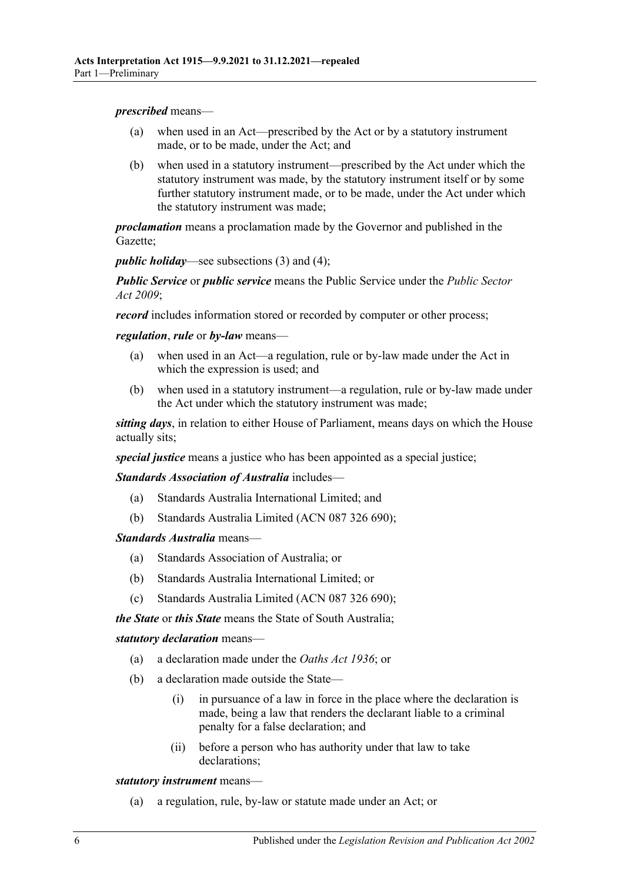*prescribed* means—

- (a) when used in an Act—prescribed by the Act or by a statutory instrument made, or to be made, under the Act; and
- (b) when used in a statutory instrument—prescribed by the Act under which the statutory instrument was made, by the statutory instrument itself or by some further statutory instrument made, or to be made, under the Act under which the statutory instrument was made;

*proclamation* means a proclamation made by the Governor and published in the Gazette;

*public holiday*—see [subsections](#page-6-1) (3) and [\(4\);](#page-6-2)

*Public Service* or *public service* means the Public Service under the *[Public Sector](http://www.legislation.sa.gov.au/index.aspx?action=legref&type=act&legtitle=Public%20Sector%20Act%202009)  Act [2009](http://www.legislation.sa.gov.au/index.aspx?action=legref&type=act&legtitle=Public%20Sector%20Act%202009)*;

*record* includes information stored or recorded by computer or other process;

*regulation*, *rule* or *by-law* means—

- (a) when used in an Act—a regulation, rule or by-law made under the Act in which the expression is used; and
- (b) when used in a statutory instrument—a regulation, rule or by-law made under the Act under which the statutory instrument was made;

*sitting days*, in relation to either House of Parliament, means days on which the House actually sits;

*special justice* means a justice who has been appointed as a special justice;

*Standards Association of Australia* includes—

- (a) Standards Australia International Limited; and
- (b) Standards Australia Limited (ACN 087 326 690);

*Standards Australia* means—

- (a) Standards Association of Australia; or
- (b) Standards Australia International Limited; or
- (c) Standards Australia Limited (ACN 087 326 690);

*the State* or *this State* means the State of South Australia;

*statutory declaration* means—

- (a) a declaration made under the *[Oaths Act](http://www.legislation.sa.gov.au/index.aspx?action=legref&type=act&legtitle=Oaths%20Act%201936) 1936*; or
- (b) a declaration made outside the State—
	- (i) in pursuance of a law in force in the place where the declaration is made, being a law that renders the declarant liable to a criminal penalty for a false declaration; and
	- (ii) before a person who has authority under that law to take declarations;

*statutory instrument* means—

(a) a regulation, rule, by-law or statute made under an Act; or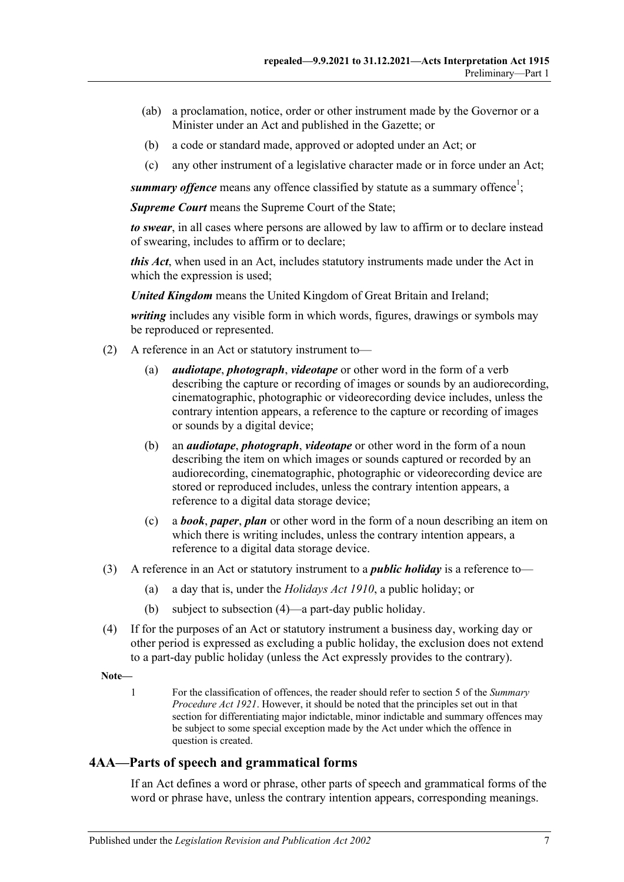- (ab) a proclamation, notice, order or other instrument made by the Governor or a Minister under an Act and published in the Gazette; or
- (b) a code or standard made, approved or adopted under an Act; or
- (c) any other instrument of a legislative character made or in force under an Act;

summary offence means any offence classified by statute as a summary offence<sup>1</sup>;

*Supreme Court* means the Supreme Court of the State;

*to swear*, in all cases where persons are allowed by law to affirm or to declare instead of swearing, includes to affirm or to declare;

*this Act*, when used in an Act, includes statutory instruments made under the Act in which the expression is used;

*United Kingdom* means the United Kingdom of Great Britain and Ireland;

*writing* includes any visible form in which words, figures, drawings or symbols may be reproduced or represented.

- (2) A reference in an Act or statutory instrument to—
	- (a) *audiotape*, *photograph*, *videotape* or other word in the form of a verb describing the capture or recording of images or sounds by an audiorecording, cinematographic, photographic or videorecording device includes, unless the contrary intention appears, a reference to the capture or recording of images or sounds by a digital device;
	- (b) an *audiotape*, *photograph*, *videotape* or other word in the form of a noun describing the item on which images or sounds captured or recorded by an audiorecording, cinematographic, photographic or videorecording device are stored or reproduced includes, unless the contrary intention appears, a reference to a digital data storage device;
	- (c) a *book*, *paper*, *plan* or other word in the form of a noun describing an item on which there is writing includes, unless the contrary intention appears, a reference to a digital data storage device.
- <span id="page-6-1"></span>(3) A reference in an Act or statutory instrument to a *public holiday* is a reference to—
	- (a) a day that is, under the *[Holidays Act](http://www.legislation.sa.gov.au/index.aspx?action=legref&type=act&legtitle=Holidays%20Act%201910) 1910*, a public holiday; or
	- (b) subject to [subsection](#page-6-2) (4)—a part-day public holiday.
- <span id="page-6-2"></span>(4) If for the purposes of an Act or statutory instrument a business day, working day or other period is expressed as excluding a public holiday, the exclusion does not extend to a part-day public holiday (unless the Act expressly provides to the contrary).

**Note—**

1 For the classification of offences, the reader should refer to section 5 of the *[Summary](http://www.legislation.sa.gov.au/index.aspx?action=legref&type=act&legtitle=Summary%20Procedure%20Act%201921)  [Procedure Act](http://www.legislation.sa.gov.au/index.aspx?action=legref&type=act&legtitle=Summary%20Procedure%20Act%201921) 1921*. However, it should be noted that the principles set out in that section for differentiating major indictable, minor indictable and summary offences may be subject to some special exception made by the Act under which the offence in question is created.

#### <span id="page-6-0"></span>**4AA—Parts of speech and grammatical forms**

If an Act defines a word or phrase, other parts of speech and grammatical forms of the word or phrase have, unless the contrary intention appears, corresponding meanings.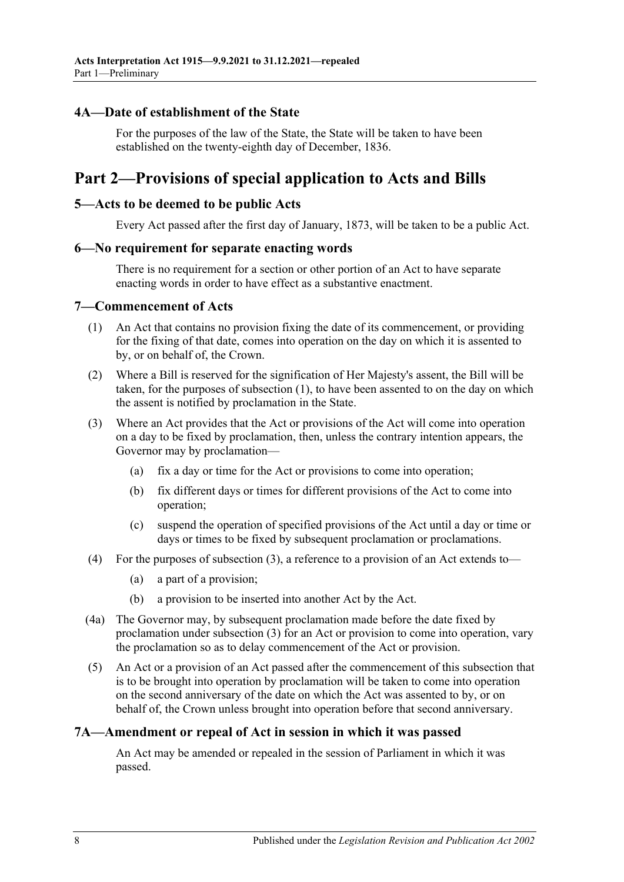#### <span id="page-7-0"></span>**4A—Date of establishment of the State**

For the purposes of the law of the State, the State will be taken to have been established on the twenty-eighth day of December, 1836.

# <span id="page-7-1"></span>**Part 2—Provisions of special application to Acts and Bills**

#### <span id="page-7-2"></span>**5—Acts to be deemed to be public Acts**

Every Act passed after the first day of January, 1873, will be taken to be a public Act.

#### <span id="page-7-3"></span>**6—No requirement for separate enacting words**

There is no requirement for a section or other portion of an Act to have separate enacting words in order to have effect as a substantive enactment.

#### <span id="page-7-6"></span><span id="page-7-4"></span>**7—Commencement of Acts**

- (1) An Act that contains no provision fixing the date of its commencement, or providing for the fixing of that date, comes into operation on the day on which it is assented to by, or on behalf of, the Crown.
- (2) Where a Bill is reserved for the signification of Her Majesty's assent, the Bill will be taken, for the purposes of [subsection](#page-7-6) (1), to have been assented to on the day on which the assent is notified by proclamation in the State.
- <span id="page-7-7"></span>(3) Where an Act provides that the Act or provisions of the Act will come into operation on a day to be fixed by proclamation, then, unless the contrary intention appears, the Governor may by proclamation—
	- (a) fix a day or time for the Act or provisions to come into operation;
	- (b) fix different days or times for different provisions of the Act to come into operation;
	- (c) suspend the operation of specified provisions of the Act until a day or time or days or times to be fixed by subsequent proclamation or proclamations.
- (4) For the purposes of [subsection](#page-7-7) (3), a reference to a provision of an Act extends to—
	- (a) a part of a provision;
	- (b) a provision to be inserted into another Act by the Act.
- (4a) The Governor may, by subsequent proclamation made before the date fixed by proclamation under [subsection](#page-7-7) (3) for an Act or provision to come into operation, vary the proclamation so as to delay commencement of the Act or provision.
- (5) An Act or a provision of an Act passed after the commencement of this subsection that is to be brought into operation by proclamation will be taken to come into operation on the second anniversary of the date on which the Act was assented to by, or on behalf of, the Crown unless brought into operation before that second anniversary.

#### <span id="page-7-5"></span>**7A—Amendment or repeal of Act in session in which it was passed**

An Act may be amended or repealed in the session of Parliament in which it was passed.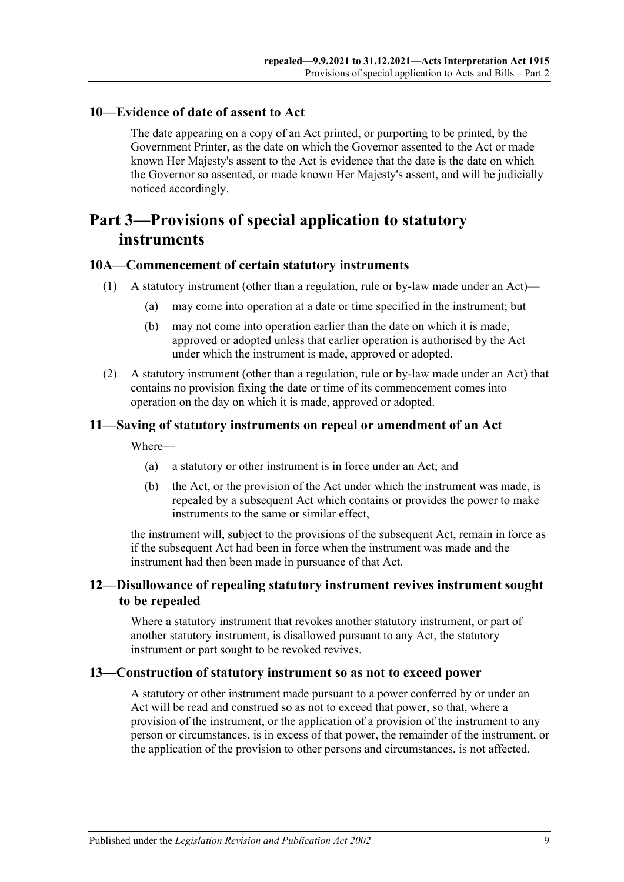### <span id="page-8-0"></span>**10—Evidence of date of assent to Act**

The date appearing on a copy of an Act printed, or purporting to be printed, by the Government Printer, as the date on which the Governor assented to the Act or made known Her Majesty's assent to the Act is evidence that the date is the date on which the Governor so assented, or made known Her Majesty's assent, and will be judicially noticed accordingly.

# <span id="page-8-1"></span>**Part 3—Provisions of special application to statutory instruments**

#### <span id="page-8-2"></span>**10A—Commencement of certain statutory instruments**

- (1) A statutory instrument (other than a regulation, rule or by-law made under an Act)—
	- (a) may come into operation at a date or time specified in the instrument; but
	- (b) may not come into operation earlier than the date on which it is made, approved or adopted unless that earlier operation is authorised by the Act under which the instrument is made, approved or adopted.
- (2) A statutory instrument (other than a regulation, rule or by-law made under an Act) that contains no provision fixing the date or time of its commencement comes into operation on the day on which it is made, approved or adopted.

## <span id="page-8-3"></span>**11—Saving of statutory instruments on repeal or amendment of an Act**

Where—

- (a) a statutory or other instrument is in force under an Act; and
- (b) the Act, or the provision of the Act under which the instrument was made, is repealed by a subsequent Act which contains or provides the power to make instruments to the same or similar effect,

the instrument will, subject to the provisions of the subsequent Act, remain in force as if the subsequent Act had been in force when the instrument was made and the instrument had then been made in pursuance of that Act.

## <span id="page-8-4"></span>**12—Disallowance of repealing statutory instrument revives instrument sought to be repealed**

Where a statutory instrument that revokes another statutory instrument, or part of another statutory instrument, is disallowed pursuant to any Act, the statutory instrument or part sought to be revoked revives.

#### <span id="page-8-5"></span>**13—Construction of statutory instrument so as not to exceed power**

A statutory or other instrument made pursuant to a power conferred by or under an Act will be read and construed so as not to exceed that power, so that, where a provision of the instrument, or the application of a provision of the instrument to any person or circumstances, is in excess of that power, the remainder of the instrument, or the application of the provision to other persons and circumstances, is not affected.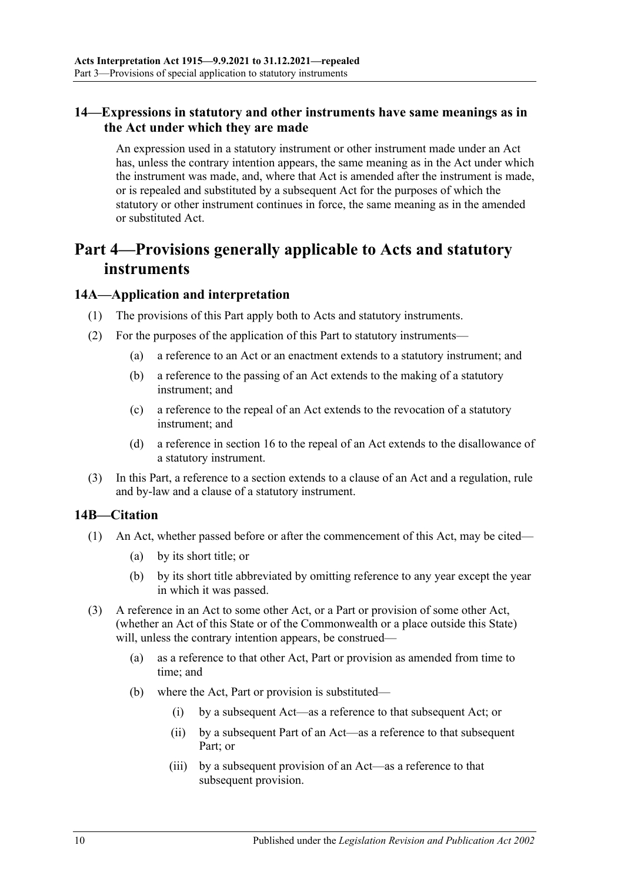# <span id="page-9-0"></span>**14—Expressions in statutory and other instruments have same meanings as in the Act under which they are made**

An expression used in a statutory instrument or other instrument made under an Act has, unless the contrary intention appears, the same meaning as in the Act under which the instrument was made, and, where that Act is amended after the instrument is made, or is repealed and substituted by a subsequent Act for the purposes of which the statutory or other instrument continues in force, the same meaning as in the amended or substituted Act.

# <span id="page-9-1"></span>**Part 4—Provisions generally applicable to Acts and statutory instruments**

#### <span id="page-9-2"></span>**14A—Application and interpretation**

- (1) The provisions of this Part apply both to Acts and statutory instruments.
- (2) For the purposes of the application of this Part to statutory instruments—
	- (a) a reference to an Act or an enactment extends to a statutory instrument; and
	- (b) a reference to the passing of an Act extends to the making of a statutory instrument; and
	- (c) a reference to the repeal of an Act extends to the revocation of a statutory instrument; and
	- (d) a reference in [section](#page-11-1) 16 to the repeal of an Act extends to the disallowance of a statutory instrument.
- (3) In this Part, a reference to a section extends to a clause of an Act and a regulation, rule and by-law and a clause of a statutory instrument.

#### <span id="page-9-3"></span>**14B—Citation**

- (1) An Act, whether passed before or after the commencement of this Act, may be cited—
	- (a) by its short title; or
	- (b) by its short title abbreviated by omitting reference to any year except the year in which it was passed.
- (3) A reference in an Act to some other Act, or a Part or provision of some other Act, (whether an Act of this State or of the Commonwealth or a place outside this State) will, unless the contrary intention appears, be construed—
	- (a) as a reference to that other Act, Part or provision as amended from time to time; and
	- (b) where the Act, Part or provision is substituted—
		- (i) by a subsequent Act—as a reference to that subsequent Act; or
		- (ii) by a subsequent Part of an Act—as a reference to that subsequent Part; or
		- (iii) by a subsequent provision of an Act—as a reference to that subsequent provision.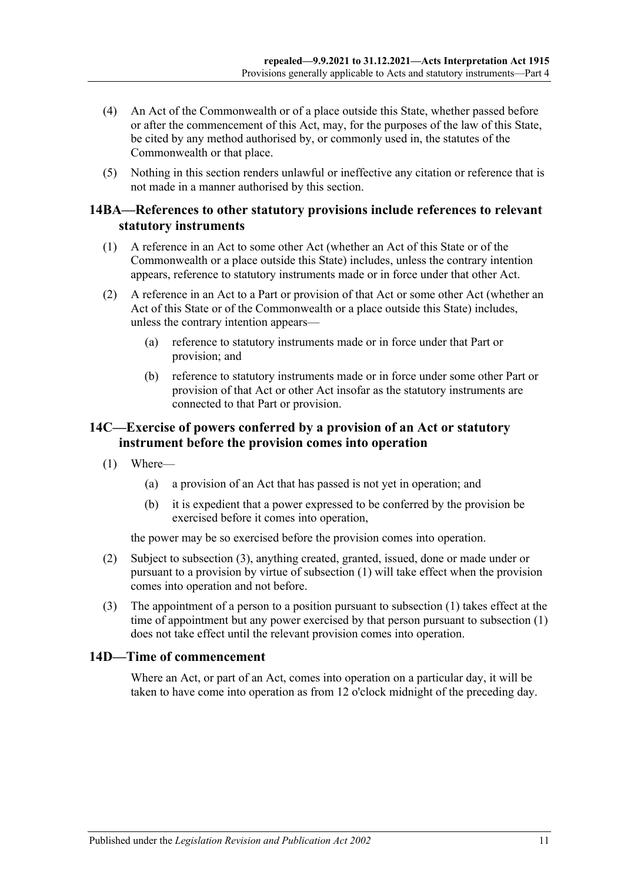- (4) An Act of the Commonwealth or of a place outside this State, whether passed before or after the commencement of this Act, may, for the purposes of the law of this State, be cited by any method authorised by, or commonly used in, the statutes of the Commonwealth or that place.
- (5) Nothing in this section renders unlawful or ineffective any citation or reference that is not made in a manner authorised by this section.

#### <span id="page-10-0"></span>**14BA—References to other statutory provisions include references to relevant statutory instruments**

- (1) A reference in an Act to some other Act (whether an Act of this State or of the Commonwealth or a place outside this State) includes, unless the contrary intention appears, reference to statutory instruments made or in force under that other Act.
- (2) A reference in an Act to a Part or provision of that Act or some other Act (whether an Act of this State or of the Commonwealth or a place outside this State) includes, unless the contrary intention appears—
	- (a) reference to statutory instruments made or in force under that Part or provision; and
	- (b) reference to statutory instruments made or in force under some other Part or provision of that Act or other Act insofar as the statutory instruments are connected to that Part or provision.

### <span id="page-10-1"></span>**14C—Exercise of powers conferred by a provision of an Act or statutory instrument before the provision comes into operation**

- <span id="page-10-4"></span>(1) Where—
	- (a) a provision of an Act that has passed is not yet in operation; and
	- (b) it is expedient that a power expressed to be conferred by the provision be exercised before it comes into operation,

the power may be so exercised before the provision comes into operation.

- (2) Subject to [subsection](#page-10-3) (3), anything created, granted, issued, done or made under or pursuant to a provision by virtue of [subsection](#page-10-4) (1) will take effect when the provision comes into operation and not before.
- <span id="page-10-3"></span>(3) The appointment of a person to a position pursuant to [subsection](#page-10-4) (1) takes effect at the time of appointment but any power exercised by that person pursuant to [subsection](#page-10-4) (1) does not take effect until the relevant provision comes into operation.

#### <span id="page-10-2"></span>**14D—Time of commencement**

Where an Act, or part of an Act, comes into operation on a particular day, it will be taken to have come into operation as from 12 o'clock midnight of the preceding day.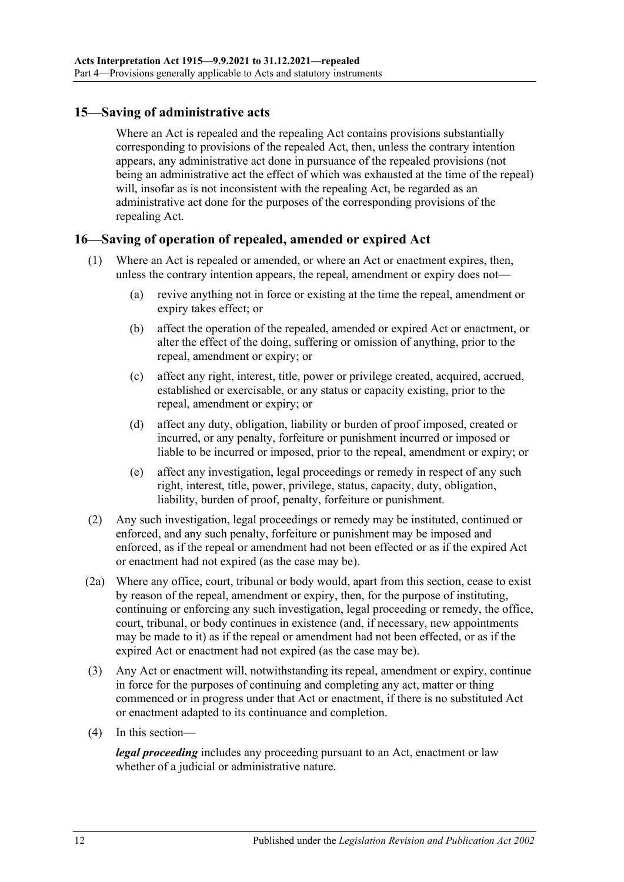# <span id="page-11-0"></span>**15—Saving of administrative acts**

Where an Act is repealed and the repealing Act contains provisions substantially corresponding to provisions of the repealed Act, then, unless the contrary intention appears, any administrative act done in pursuance of the repealed provisions (not being an administrative act the effect of which was exhausted at the time of the repeal) will, insofar as is not inconsistent with the repealing Act, be regarded as an administrative act done for the purposes of the corresponding provisions of the repealing Act.

#### <span id="page-11-1"></span>**16—Saving of operation of repealed, amended or expired Act**

- (1) Where an Act is repealed or amended, or where an Act or enactment expires, then, unless the contrary intention appears, the repeal, amendment or expiry does not—
	- (a) revive anything not in force or existing at the time the repeal, amendment or expiry takes effect; or
	- (b) affect the operation of the repealed, amended or expired Act or enactment, or alter the effect of the doing, suffering or omission of anything, prior to the repeal, amendment or expiry; or
	- (c) affect any right, interest, title, power or privilege created, acquired, accrued, established or exercisable, or any status or capacity existing, prior to the repeal, amendment or expiry; or
	- (d) affect any duty, obligation, liability or burden of proof imposed, created or incurred, or any penalty, forfeiture or punishment incurred or imposed or liable to be incurred or imposed, prior to the repeal, amendment or expiry; or
	- (e) affect any investigation, legal proceedings or remedy in respect of any such right, interest, title, power, privilege, status, capacity, duty, obligation, liability, burden of proof, penalty, forfeiture or punishment.
- (2) Any such investigation, legal proceedings or remedy may be instituted, continued or enforced, and any such penalty, forfeiture or punishment may be imposed and enforced, as if the repeal or amendment had not been effected or as if the expired Act or enactment had not expired (as the case may be).
- (2a) Where any office, court, tribunal or body would, apart from this section, cease to exist by reason of the repeal, amendment or expiry, then, for the purpose of instituting, continuing or enforcing any such investigation, legal proceeding or remedy, the office, court, tribunal, or body continues in existence (and, if necessary, new appointments may be made to it) as if the repeal or amendment had not been effected, or as if the expired Act or enactment had not expired (as the case may be).
- (3) Any Act or enactment will, notwithstanding its repeal, amendment or expiry, continue in force for the purposes of continuing and completing any act, matter or thing commenced or in progress under that Act or enactment, if there is no substituted Act or enactment adapted to its continuance and completion.
- (4) In this section—

*legal proceeding* includes any proceeding pursuant to an Act, enactment or law whether of a judicial or administrative nature.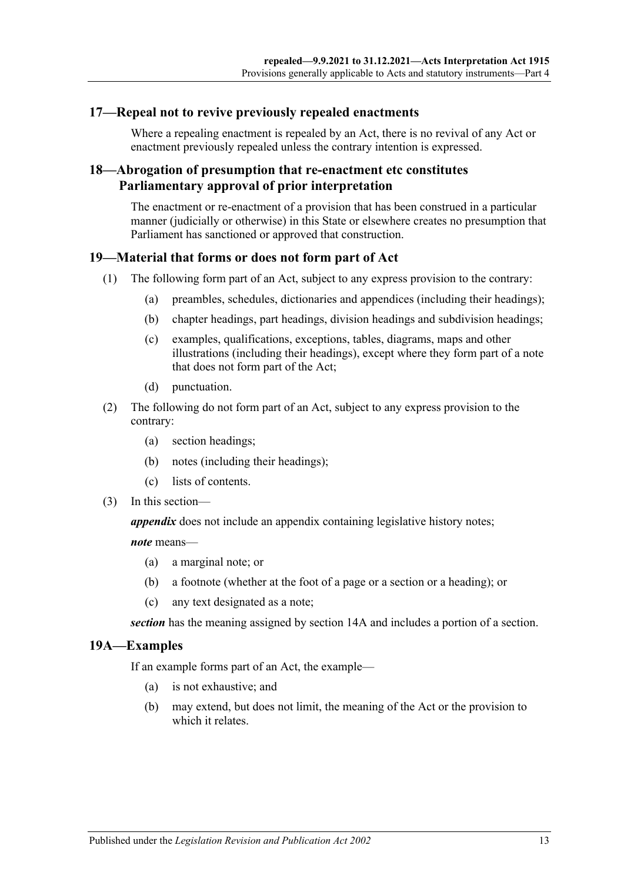#### <span id="page-12-0"></span>**17—Repeal not to revive previously repealed enactments**

Where a repealing enactment is repealed by an Act, there is no revival of any Act or enactment previously repealed unless the contrary intention is expressed.

### <span id="page-12-1"></span>**18—Abrogation of presumption that re-enactment etc constitutes Parliamentary approval of prior interpretation**

The enactment or re-enactment of a provision that has been construed in a particular manner (judicially or otherwise) in this State or elsewhere creates no presumption that Parliament has sanctioned or approved that construction.

#### <span id="page-12-2"></span>**19—Material that forms or does not form part of Act**

- (1) The following form part of an Act, subject to any express provision to the contrary:
	- (a) preambles, schedules, dictionaries and appendices (including their headings);
	- (b) chapter headings, part headings, division headings and subdivision headings;
	- (c) examples, qualifications, exceptions, tables, diagrams, maps and other illustrations (including their headings), except where they form part of a note that does not form part of the Act;
	- (d) punctuation.
- (2) The following do not form part of an Act, subject to any express provision to the contrary:
	- (a) section headings;
	- (b) notes (including their headings);
	- (c) lists of contents.
- (3) In this section—

*appendix* does not include an appendix containing legislative history notes;

*note* means—

- (a) a marginal note; or
- (b) a footnote (whether at the foot of a page or a section or a heading); or
- (c) any text designated as a note;

*section* has the meaning assigned by [section](#page-9-2) 14A and includes a portion of a section.

#### <span id="page-12-3"></span>**19A—Examples**

If an example forms part of an Act, the example—

- (a) is not exhaustive; and
- (b) may extend, but does not limit, the meaning of the Act or the provision to which it relates.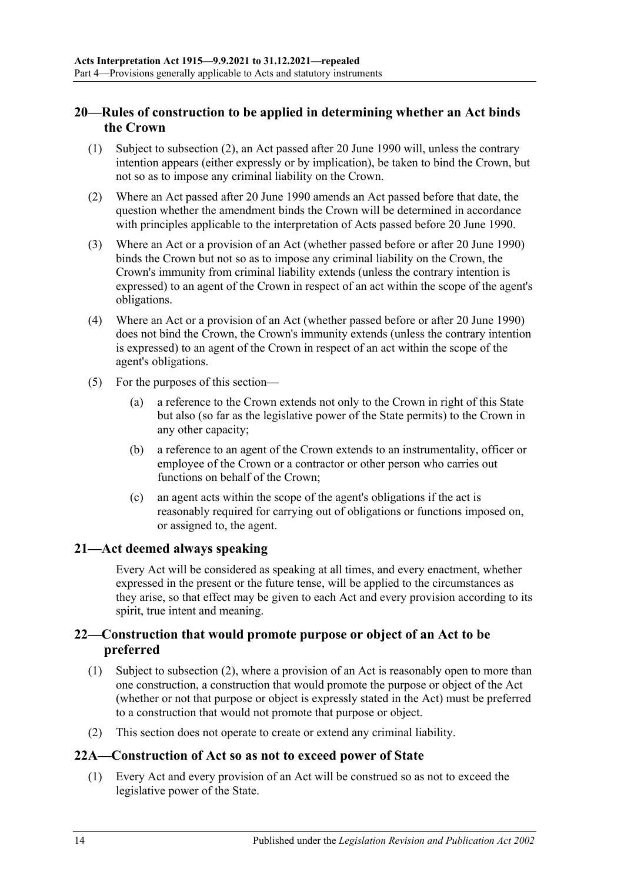# <span id="page-13-0"></span>**20—Rules of construction to be applied in determining whether an Act binds the Crown**

- (1) Subject to [subsection](#page-13-4) (2), an Act passed after 20 June 1990 will, unless the contrary intention appears (either expressly or by implication), be taken to bind the Crown, but not so as to impose any criminal liability on the Crown.
- <span id="page-13-4"></span>(2) Where an Act passed after 20 June 1990 amends an Act passed before that date, the question whether the amendment binds the Crown will be determined in accordance with principles applicable to the interpretation of Acts passed before 20 June 1990.
- (3) Where an Act or a provision of an Act (whether passed before or after 20 June 1990) binds the Crown but not so as to impose any criminal liability on the Crown, the Crown's immunity from criminal liability extends (unless the contrary intention is expressed) to an agent of the Crown in respect of an act within the scope of the agent's obligations.
- (4) Where an Act or a provision of an Act (whether passed before or after 20 June 1990) does not bind the Crown, the Crown's immunity extends (unless the contrary intention is expressed) to an agent of the Crown in respect of an act within the scope of the agent's obligations.
- (5) For the purposes of this section—
	- (a) a reference to the Crown extends not only to the Crown in right of this State but also (so far as the legislative power of the State permits) to the Crown in any other capacity;
	- (b) a reference to an agent of the Crown extends to an instrumentality, officer or employee of the Crown or a contractor or other person who carries out functions on behalf of the Crown;
	- (c) an agent acts within the scope of the agent's obligations if the act is reasonably required for carrying out of obligations or functions imposed on, or assigned to, the agent.

#### <span id="page-13-1"></span>**21—Act deemed always speaking**

Every Act will be considered as speaking at all times, and every enactment, whether expressed in the present or the future tense, will be applied to the circumstances as they arise, so that effect may be given to each Act and every provision according to its spirit, true intent and meaning.

# <span id="page-13-2"></span>**22—Construction that would promote purpose or object of an Act to be preferred**

- (1) Subject to [subsection](#page-13-5) (2), where a provision of an Act is reasonably open to more than one construction, a construction that would promote the purpose or object of the Act (whether or not that purpose or object is expressly stated in the Act) must be preferred to a construction that would not promote that purpose or object.
- <span id="page-13-5"></span>(2) This section does not operate to create or extend any criminal liability.

#### <span id="page-13-3"></span>**22A—Construction of Act so as not to exceed power of State**

(1) Every Act and every provision of an Act will be construed so as not to exceed the legislative power of the State.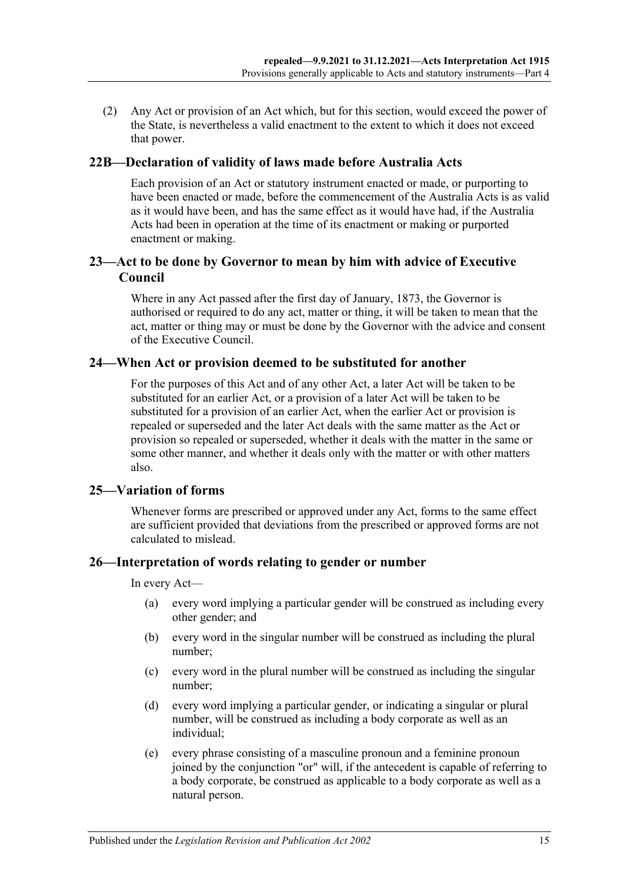(2) Any Act or provision of an Act which, but for this section, would exceed the power of the State, is nevertheless a valid enactment to the extent to which it does not exceed that power.

#### <span id="page-14-0"></span>**22B—Declaration of validity of laws made before Australia Acts**

Each provision of an Act or statutory instrument enacted or made, or purporting to have been enacted or made, before the commencement of the Australia Acts is as valid as it would have been, and has the same effect as it would have had, if the Australia Acts had been in operation at the time of its enactment or making or purported enactment or making.

#### <span id="page-14-1"></span>**23—Act to be done by Governor to mean by him with advice of Executive Council**

Where in any Act passed after the first day of January, 1873, the Governor is authorised or required to do any act, matter or thing, it will be taken to mean that the act, matter or thing may or must be done by the Governor with the advice and consent of the Executive Council.

#### <span id="page-14-2"></span>**24—When Act or provision deemed to be substituted for another**

For the purposes of this Act and of any other Act, a later Act will be taken to be substituted for an earlier Act, or a provision of a later Act will be taken to be substituted for a provision of an earlier Act, when the earlier Act or provision is repealed or superseded and the later Act deals with the same matter as the Act or provision so repealed or superseded, whether it deals with the matter in the same or some other manner, and whether it deals only with the matter or with other matters also.

#### <span id="page-14-3"></span>**25—Variation of forms**

Whenever forms are prescribed or approved under any Act, forms to the same effect are sufficient provided that deviations from the prescribed or approved forms are not calculated to mislead.

#### <span id="page-14-4"></span>**26—Interpretation of words relating to gender or number**

In every Act—

- (a) every word implying a particular gender will be construed as including every other gender; and
- (b) every word in the singular number will be construed as including the plural number;
- (c) every word in the plural number will be construed as including the singular number;
- (d) every word implying a particular gender, or indicating a singular or plural number, will be construed as including a body corporate as well as an individual;
- (e) every phrase consisting of a masculine pronoun and a feminine pronoun joined by the conjunction "or" will, if the antecedent is capable of referring to a body corporate, be construed as applicable to a body corporate as well as a natural person.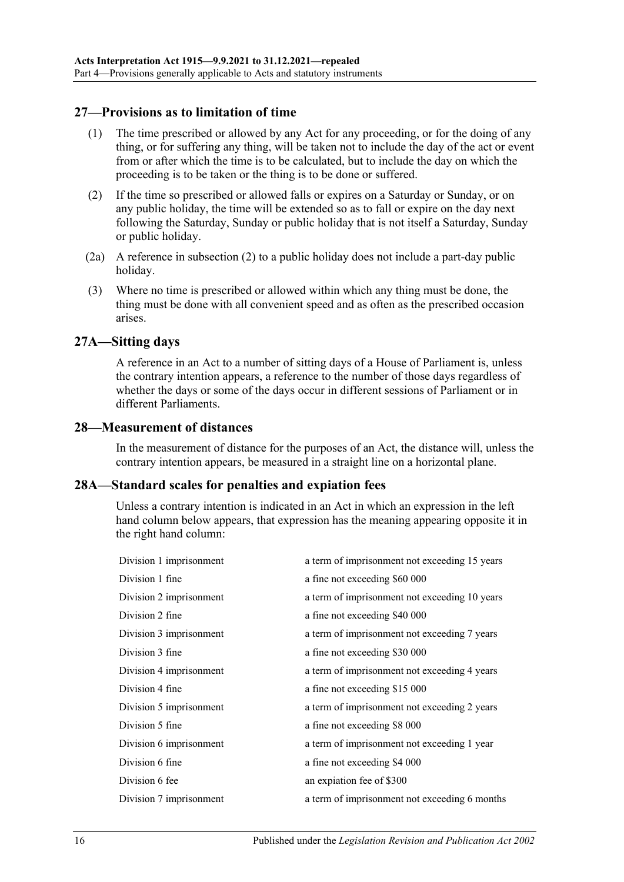### <span id="page-15-0"></span>**27—Provisions as to limitation of time**

- (1) The time prescribed or allowed by any Act for any proceeding, or for the doing of any thing, or for suffering any thing, will be taken not to include the day of the act or event from or after which the time is to be calculated, but to include the day on which the proceeding is to be taken or the thing is to be done or suffered.
- <span id="page-15-4"></span>(2) If the time so prescribed or allowed falls or expires on a Saturday or Sunday, or on any public holiday, the time will be extended so as to fall or expire on the day next following the Saturday, Sunday or public holiday that is not itself a Saturday, Sunday or public holiday.
- (2a) A reference in [subsection](#page-15-4) (2) to a public holiday does not include a part-day public holiday.
- (3) Where no time is prescribed or allowed within which any thing must be done, the thing must be done with all convenient speed and as often as the prescribed occasion arises.

#### <span id="page-15-1"></span>**27A—Sitting days**

A reference in an Act to a number of sitting days of a House of Parliament is, unless the contrary intention appears, a reference to the number of those days regardless of whether the days or some of the days occur in different sessions of Parliament or in different Parliaments.

#### <span id="page-15-2"></span>**28—Measurement of distances**

In the measurement of distance for the purposes of an Act, the distance will, unless the contrary intention appears, be measured in a straight line on a horizontal plane.

#### <span id="page-15-3"></span>**28A—Standard scales for penalties and expiation fees**

Unless a contrary intention is indicated in an Act in which an expression in the left hand column below appears, that expression has the meaning appearing opposite it in the right hand column:

| a term of imprisonment not exceeding 15 years |
|-----------------------------------------------|
| a fine not exceeding \$60 000                 |
| a term of imprisonment not exceeding 10 years |
| a fine not exceeding \$40 000                 |
| a term of imprisonment not exceeding 7 years  |
| a fine not exceeding \$30 000                 |
| a term of imprisonment not exceeding 4 years  |
| a fine not exceeding \$15 000                 |
| a term of imprisonment not exceeding 2 years  |
| a fine not exceeding \$8 000                  |
| a term of imprisonment not exceeding 1 year   |
| a fine not exceeding \$4 000                  |
| an expiation fee of \$300                     |
| a term of imprisonment not exceeding 6 months |
|                                               |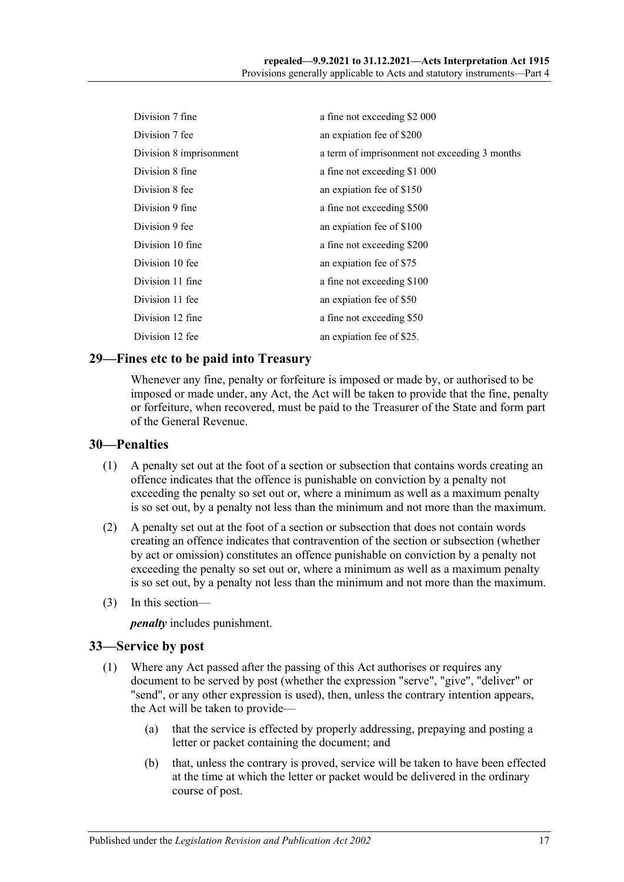| Division 7 fine         | a fine not exceeding \$2 000                  |
|-------------------------|-----------------------------------------------|
| Division 7 fee          | an expiation fee of \$200                     |
| Division 8 imprisonment | a term of imprisonment not exceeding 3 months |
| Division 8 fine         | a fine not exceeding \$1 000                  |
| Division 8 fee          | an expiation fee of \$150                     |
| Division 9 fine         | a fine not exceeding \$500                    |
| Division 9 fee          | an expiation fee of \$100                     |
| Division 10 fine        | a fine not exceeding \$200                    |
| Division 10 fee         | an expiation fee of \$75                      |
| Division 11 fine        | a fine not exceeding \$100                    |
| Division 11 fee         | an expiation fee of \$50                      |
| Division 12 fine        | a fine not exceeding \$50                     |
| Division 12 fee         | an expiation fee of \$25.                     |

## <span id="page-16-0"></span>**29—Fines etc to be paid into Treasury**

Whenever any fine, penalty or forfeiture is imposed or made by, or authorised to be imposed or made under, any Act, the Act will be taken to provide that the fine, penalty or forfeiture, when recovered, must be paid to the Treasurer of the State and form part of the General Revenue.

#### <span id="page-16-1"></span>**30—Penalties**

- (1) A penalty set out at the foot of a section or subsection that contains words creating an offence indicates that the offence is punishable on conviction by a penalty not exceeding the penalty so set out or, where a minimum as well as a maximum penalty is so set out, by a penalty not less than the minimum and not more than the maximum.
- (2) A penalty set out at the foot of a section or subsection that does not contain words creating an offence indicates that contravention of the section or subsection (whether by act or omission) constitutes an offence punishable on conviction by a penalty not exceeding the penalty so set out or, where a minimum as well as a maximum penalty is so set out, by a penalty not less than the minimum and not more than the maximum.
- (3) In this section—

*penalty* includes punishment.

#### <span id="page-16-2"></span>**33—Service by post**

- (1) Where any Act passed after the passing of this Act authorises or requires any document to be served by post (whether the expression "serve", "give", "deliver" or "send", or any other expression is used), then, unless the contrary intention appears, the Act will be taken to provide—
	- (a) that the service is effected by properly addressing, prepaying and posting a letter or packet containing the document; and
	- (b) that, unless the contrary is proved, service will be taken to have been effected at the time at which the letter or packet would be delivered in the ordinary course of post.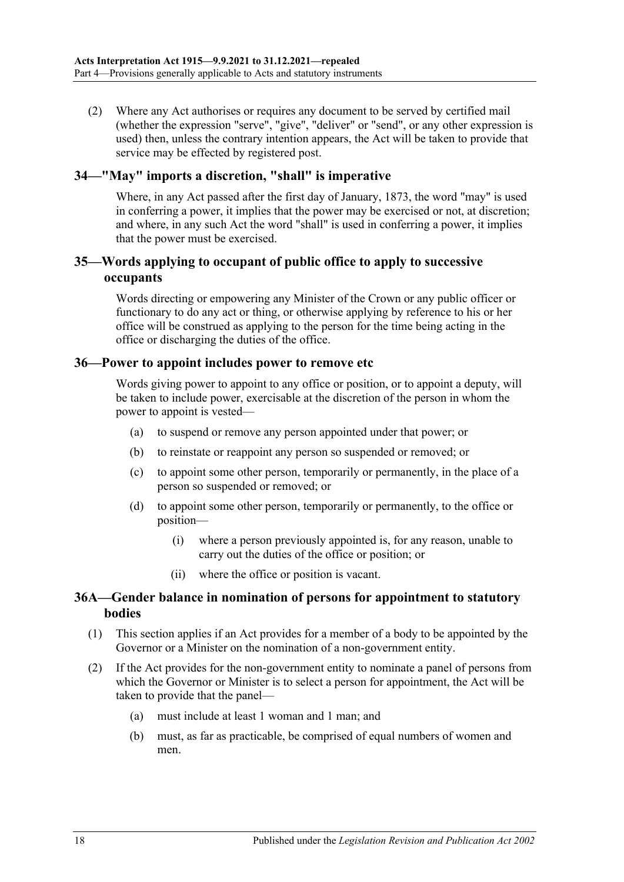(2) Where any Act authorises or requires any document to be served by certified mail (whether the expression "serve", "give", "deliver" or "send", or any other expression is used) then, unless the contrary intention appears, the Act will be taken to provide that service may be effected by registered post.

### <span id="page-17-0"></span>**34—"May" imports a discretion, "shall" is imperative**

Where, in any Act passed after the first day of January, 1873, the word "may" is used in conferring a power, it implies that the power may be exercised or not, at discretion; and where, in any such Act the word "shall" is used in conferring a power, it implies that the power must be exercised.

## <span id="page-17-1"></span>**35—Words applying to occupant of public office to apply to successive occupants**

Words directing or empowering any Minister of the Crown or any public officer or functionary to do any act or thing, or otherwise applying by reference to his or her office will be construed as applying to the person for the time being acting in the office or discharging the duties of the office.

#### <span id="page-17-2"></span>**36—Power to appoint includes power to remove etc**

Words giving power to appoint to any office or position, or to appoint a deputy, will be taken to include power, exercisable at the discretion of the person in whom the power to appoint is vested—

- (a) to suspend or remove any person appointed under that power; or
- (b) to reinstate or reappoint any person so suspended or removed; or
- (c) to appoint some other person, temporarily or permanently, in the place of a person so suspended or removed; or
- (d) to appoint some other person, temporarily or permanently, to the office or position—
	- (i) where a person previously appointed is, for any reason, unable to carry out the duties of the office or position; or
	- (ii) where the office or position is vacant.

## <span id="page-17-3"></span>**36A—Gender balance in nomination of persons for appointment to statutory bodies**

- (1) This section applies if an Act provides for a member of a body to be appointed by the Governor or a Minister on the nomination of a non-government entity.
- (2) If the Act provides for the non-government entity to nominate a panel of persons from which the Governor or Minister is to select a person for appointment, the Act will be taken to provide that the panel—
	- (a) must include at least 1 woman and 1 man; and
	- (b) must, as far as practicable, be comprised of equal numbers of women and men.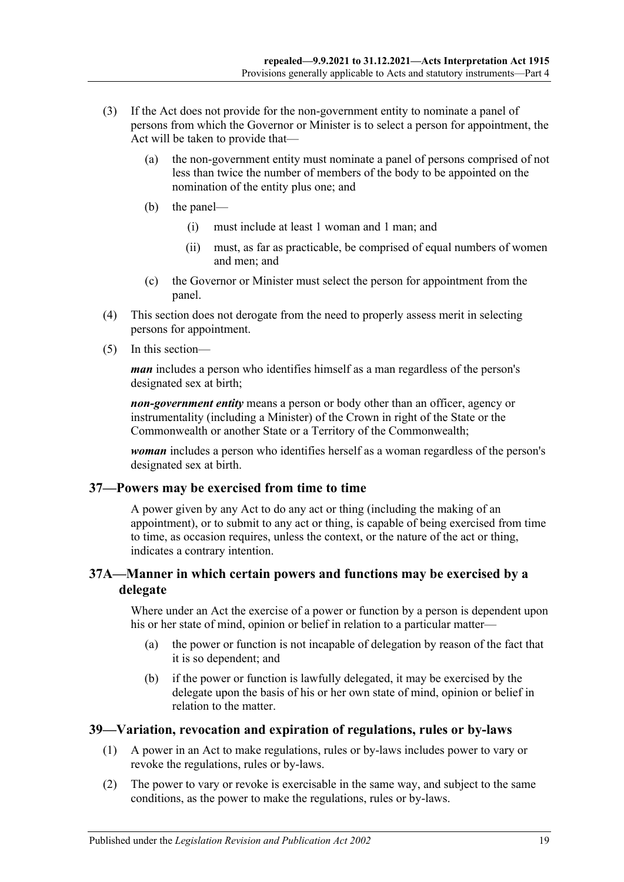- (3) If the Act does not provide for the non-government entity to nominate a panel of persons from which the Governor or Minister is to select a person for appointment, the Act will be taken to provide that—
	- (a) the non-government entity must nominate a panel of persons comprised of not less than twice the number of members of the body to be appointed on the nomination of the entity plus one; and
	- (b) the panel—
		- (i) must include at least 1 woman and 1 man; and
		- (ii) must, as far as practicable, be comprised of equal numbers of women and men; and
	- (c) the Governor or Minister must select the person for appointment from the panel.
- (4) This section does not derogate from the need to properly assess merit in selecting persons for appointment.
- (5) In this section—

*man* includes a person who identifies himself as a man regardless of the person's designated sex at birth;

*non-government entity* means a person or body other than an officer, agency or instrumentality (including a Minister) of the Crown in right of the State or the Commonwealth or another State or a Territory of the Commonwealth;

*woman* includes a person who identifies herself as a woman regardless of the person's designated sex at birth.

#### <span id="page-18-0"></span>**37—Powers may be exercised from time to time**

A power given by any Act to do any act or thing (including the making of an appointment), or to submit to any act or thing, is capable of being exercised from time to time, as occasion requires, unless the context, or the nature of the act or thing, indicates a contrary intention.

## <span id="page-18-1"></span>**37A—Manner in which certain powers and functions may be exercised by a delegate**

Where under an Act the exercise of a power or function by a person is dependent upon his or her state of mind, opinion or belief in relation to a particular matter—

- (a) the power or function is not incapable of delegation by reason of the fact that it is so dependent; and
- (b) if the power or function is lawfully delegated, it may be exercised by the delegate upon the basis of his or her own state of mind, opinion or belief in relation to the matter.

# <span id="page-18-2"></span>**39—Variation, revocation and expiration of regulations, rules or by-laws**

- (1) A power in an Act to make regulations, rules or by-laws includes power to vary or revoke the regulations, rules or by-laws.
- (2) The power to vary or revoke is exercisable in the same way, and subject to the same conditions, as the power to make the regulations, rules or by-laws.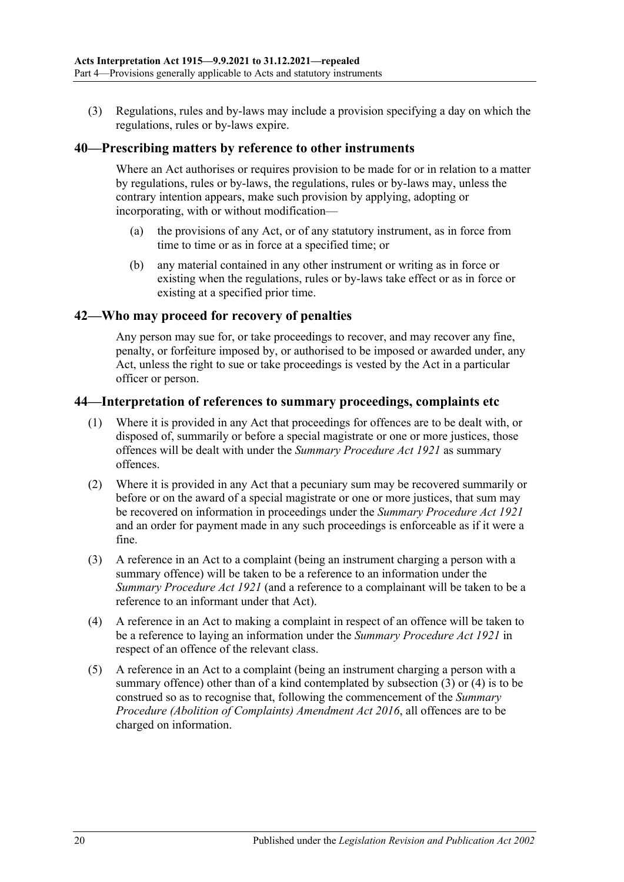(3) Regulations, rules and by-laws may include a provision specifying a day on which the regulations, rules or by-laws expire.

#### <span id="page-19-0"></span>**40—Prescribing matters by reference to other instruments**

Where an Act authorises or requires provision to be made for or in relation to a matter by regulations, rules or by-laws, the regulations, rules or by-laws may, unless the contrary intention appears, make such provision by applying, adopting or incorporating, with or without modification—

- (a) the provisions of any Act, or of any statutory instrument, as in force from time to time or as in force at a specified time; or
- (b) any material contained in any other instrument or writing as in force or existing when the regulations, rules or by-laws take effect or as in force or existing at a specified prior time.

#### <span id="page-19-1"></span>**42—Who may proceed for recovery of penalties**

Any person may sue for, or take proceedings to recover, and may recover any fine, penalty, or forfeiture imposed by, or authorised to be imposed or awarded under, any Act, unless the right to sue or take proceedings is vested by the Act in a particular officer or person.

#### <span id="page-19-2"></span>**44—Interpretation of references to summary proceedings, complaints etc**

- (1) Where it is provided in any Act that proceedings for offences are to be dealt with, or disposed of, summarily or before a special magistrate or one or more justices, those offences will be dealt with under the *[Summary Procedure Act](http://www.legislation.sa.gov.au/index.aspx?action=legref&type=act&legtitle=Summary%20Procedure%20Act%201921) 1921* as summary offences.
- (2) Where it is provided in any Act that a pecuniary sum may be recovered summarily or before or on the award of a special magistrate or one or more justices, that sum may be recovered on information in proceedings under the *[Summary Procedure Act](http://www.legislation.sa.gov.au/index.aspx?action=legref&type=act&legtitle=Summary%20Procedure%20Act%201921) 1921* and an order for payment made in any such proceedings is enforceable as if it were a fine.
- <span id="page-19-3"></span>(3) A reference in an Act to a complaint (being an instrument charging a person with a summary offence) will be taken to be a reference to an information under the *[Summary Procedure Act](http://www.legislation.sa.gov.au/index.aspx?action=legref&type=act&legtitle=Summary%20Procedure%20Act%201921) 1921* (and a reference to a complainant will be taken to be a reference to an informant under that Act).
- <span id="page-19-4"></span>(4) A reference in an Act to making a complaint in respect of an offence will be taken to be a reference to laying an information under the *[Summary Procedure Act](http://www.legislation.sa.gov.au/index.aspx?action=legref&type=act&legtitle=Summary%20Procedure%20Act%201921) 1921* in respect of an offence of the relevant class.
- (5) A reference in an Act to a complaint (being an instrument charging a person with a summary offence) other than of a kind contemplated by [subsection](#page-19-3)  $(3)$  or  $(4)$  is to be construed so as to recognise that, following the commencement of the *[Summary](http://www.legislation.sa.gov.au/index.aspx?action=legref&type=act&legtitle=Summary%20Procedure%20(Abolition%20of%20Complaints)%20Amendment%20Act%202016)  [Procedure \(Abolition of Complaints\) Amendment Act](http://www.legislation.sa.gov.au/index.aspx?action=legref&type=act&legtitle=Summary%20Procedure%20(Abolition%20of%20Complaints)%20Amendment%20Act%202016) 2016*, all offences are to be charged on information.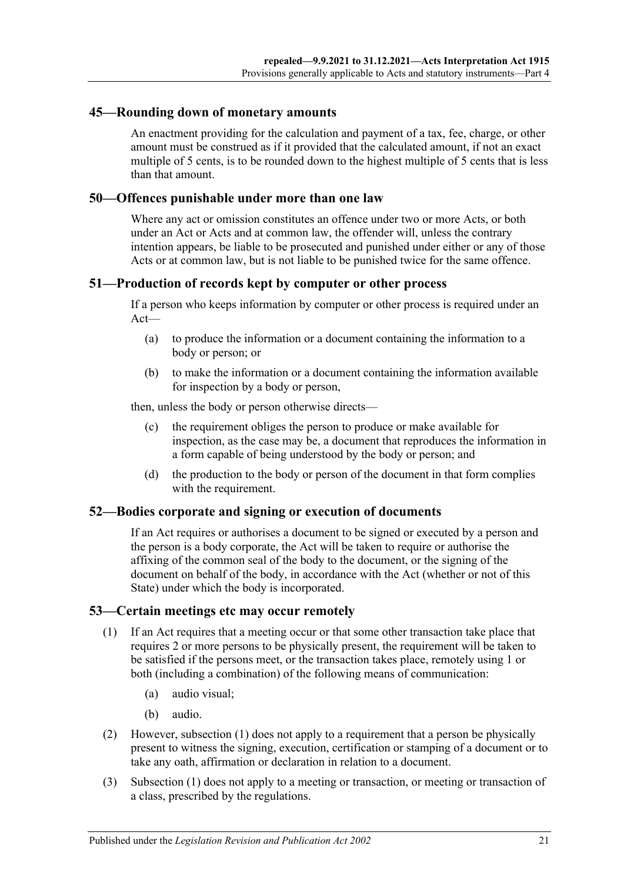#### <span id="page-20-0"></span>**45—Rounding down of monetary amounts**

An enactment providing for the calculation and payment of a tax, fee, charge, or other amount must be construed as if it provided that the calculated amount, if not an exact multiple of 5 cents, is to be rounded down to the highest multiple of 5 cents that is less than that amount.

#### <span id="page-20-1"></span>**50—Offences punishable under more than one law**

Where any act or omission constitutes an offence under two or more Acts, or both under an Act or Acts and at common law, the offender will, unless the contrary intention appears, be liable to be prosecuted and punished under either or any of those Acts or at common law, but is not liable to be punished twice for the same offence.

#### <span id="page-20-2"></span>**51—Production of records kept by computer or other process**

If a person who keeps information by computer or other process is required under an Act—

- (a) to produce the information or a document containing the information to a body or person; or
- (b) to make the information or a document containing the information available for inspection by a body or person,

then, unless the body or person otherwise directs—

- (c) the requirement obliges the person to produce or make available for inspection, as the case may be, a document that reproduces the information in a form capable of being understood by the body or person; and
- (d) the production to the body or person of the document in that form complies with the requirement.

#### <span id="page-20-3"></span>**52—Bodies corporate and signing or execution of documents**

If an Act requires or authorises a document to be signed or executed by a person and the person is a body corporate, the Act will be taken to require or authorise the affixing of the common seal of the body to the document, or the signing of the document on behalf of the body, in accordance with the Act (whether or not of this State) under which the body is incorporated.

#### <span id="page-20-5"></span><span id="page-20-4"></span>**53—Certain meetings etc may occur remotely**

- (1) If an Act requires that a meeting occur or that some other transaction take place that requires 2 or more persons to be physically present, the requirement will be taken to be satisfied if the persons meet, or the transaction takes place, remotely using 1 or both (including a combination) of the following means of communication:
	- (a) audio visual;
	- (b) audio.
- (2) However, [subsection](#page-20-5) (1) does not apply to a requirement that a person be physically present to witness the signing, execution, certification or stamping of a document or to take any oath, affirmation or declaration in relation to a document.
- (3) [Subsection](#page-20-5) (1) does not apply to a meeting or transaction, or meeting or transaction of a class, prescribed by the regulations.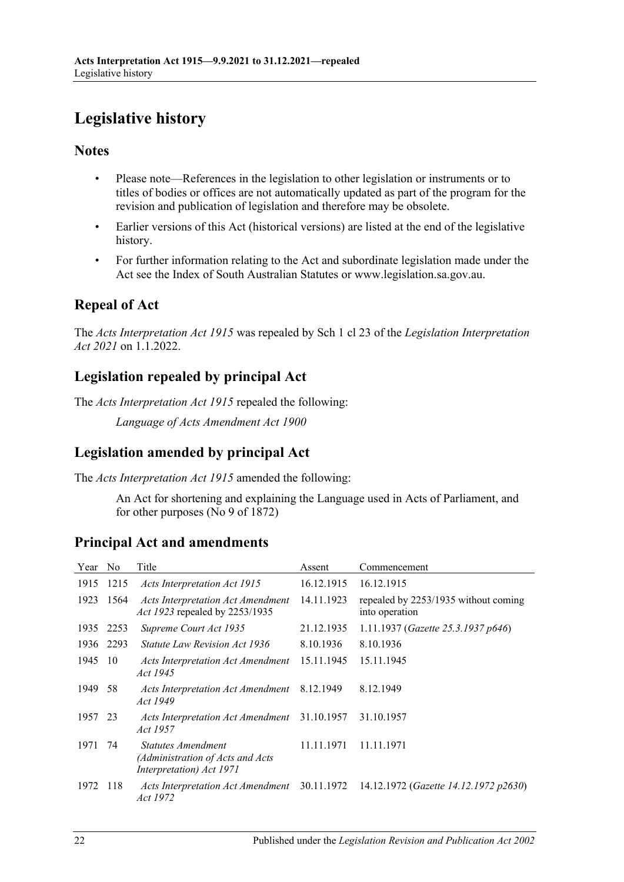# <span id="page-21-0"></span>**Legislative history**

# **Notes**

- Please note—References in the legislation to other legislation or instruments or to titles of bodies or offices are not automatically updated as part of the program for the revision and publication of legislation and therefore may be obsolete.
- Earlier versions of this Act (historical versions) are listed at the end of the legislative history.
- For further information relating to the Act and subordinate legislation made under the Act see the Index of South Australian Statutes or www.legislation.sa.gov.au.

# **Repeal of Act**

The *Acts Interpretation Act 1915* was repealed by Sch 1 cl 23 of the *Legislation Interpretation Act 2021* on 1.1.2022.

# **Legislation repealed by principal Act**

The *Acts Interpretation Act 1915* repealed the following:

*Language of Acts Amendment Act 1900*

# **Legislation amended by principal Act**

The *Acts Interpretation Act 1915* amended the following:

An Act for shortening and explaining the Language used in Acts of Parliament, and for other purposes (No 9 of 1872)

# **Principal Act and amendments**

| Year    | No   | Title                                                                              | Assent     | Commencement                                           |
|---------|------|------------------------------------------------------------------------------------|------------|--------------------------------------------------------|
| 1915    | 1215 | Acts Interpretation Act 1915                                                       | 16.12.1915 | 16.12.1915                                             |
| 1923    | 1564 | <b>Acts Interpretation Act Amendment</b><br><i>Act 1923</i> repealed by 2253/1935  | 14.11.1923 | repealed by 2253/1935 without coming<br>into operation |
| 1935    | 2253 | Supreme Court Act 1935                                                             | 21.12.1935 | 1.11.1937 (Gazette 25.3.1937 p646)                     |
| 1936    | 2293 | <i>Statute Law Revision Act 1936</i>                                               | 8.10.1936  | 8.10.1936                                              |
| 1945    | -10  | Acts Interpretation Act Amendment<br>Act 1945                                      | 15.11.1945 | 15.11.1945                                             |
| 1949    | 58   | Acts Interpretation Act Amendment<br>Act 1949                                      | 8.12.1949  | 8.12.1949                                              |
| 1957 23 |      | Acts Interpretation Act Amendment<br>Act 1957                                      | 31.10.1957 | 31.10.1957                                             |
| 1971    | 74   | Statutes Amendment<br>(Administration of Acts and Acts<br>Interpretation) Act 1971 | 11.11.1971 | 11.11.1971                                             |
| 1972    | 118  | Acts Interpretation Act Amendment 30.11.1972<br>Act 1972                           |            | 14.12.1972 (Gazette 14.12.1972 p2630)                  |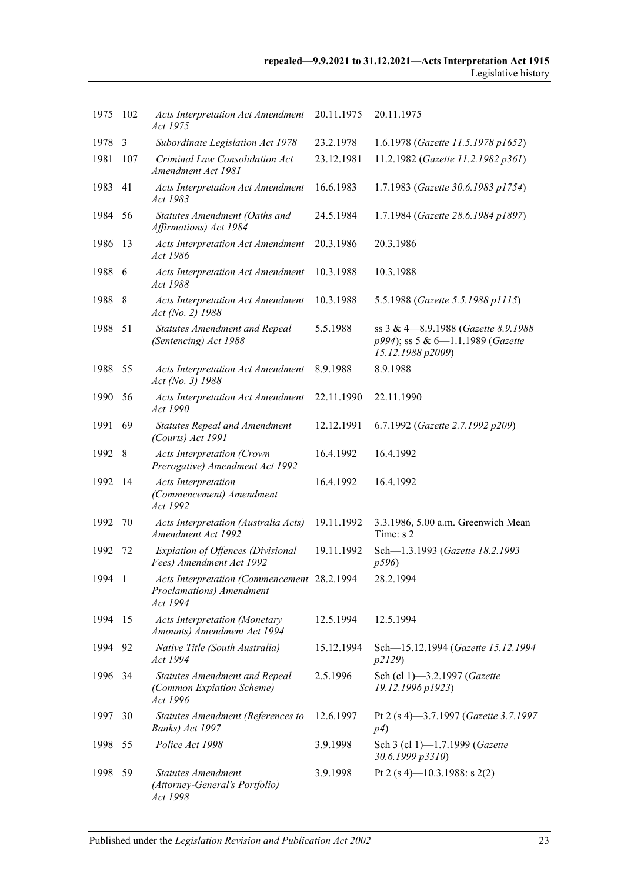| 1975    | 102 | <b>Acts Interpretation Act Amendment</b><br>Act 1975                                | 20.11.1975 | 20.11.1975                                                                                    |
|---------|-----|-------------------------------------------------------------------------------------|------------|-----------------------------------------------------------------------------------------------|
| 1978    | 3   | Subordinate Legislation Act 1978                                                    | 23.2.1978  | 1.6.1978 (Gazette 11.5.1978 p1652)                                                            |
| 1981    | 107 | Criminal Law Consolidation Act<br>Amendment Act 1981                                | 23.12.1981 | 11.2.1982 (Gazette 11.2.1982 p361)                                                            |
| 1983    | 41  | <b>Acts Interpretation Act Amendment</b><br>Act 1983                                | 16.6.1983  | 1.7.1983 (Gazette 30.6.1983 p1754)                                                            |
| 1984    | 56  | Statutes Amendment (Oaths and<br>Affirmations) Act 1984                             | 24.5.1984  | 1.7.1984 (Gazette 28.6.1984 p1897)                                                            |
| 1986    | 13  | <b>Acts Interpretation Act Amendment</b><br>Act 1986                                | 20.3.1986  | 20.3.1986                                                                                     |
| 1988    | 6   | <b>Acts Interpretation Act Amendment</b><br>Act 1988                                | 10.3.1988  | 10.3.1988                                                                                     |
| 1988    | 8   | <b>Acts Interpretation Act Amendment</b><br>Act (No. 2) 1988                        | 10.3.1988  | 5.5.1988 (Gazette 5.5.1988 p1115)                                                             |
| 1988    | 51  | <b>Statutes Amendment and Repeal</b><br>(Sentencing) Act 1988                       | 5.5.1988   | ss 3 & 4-8.9.1988 (Gazette 8.9.1988<br>p994); ss 5 & 6-1.1.1989 (Gazette<br>15.12.1988 p2009) |
| 1988    | 55  | <b>Acts Interpretation Act Amendment</b><br>Act (No. 3) 1988                        | 8.9.1988   | 8.9.1988                                                                                      |
| 1990    | 56  | <b>Acts Interpretation Act Amendment</b><br>Act 1990                                | 22.11.1990 | 22.11.1990                                                                                    |
| 1991    | 69  | Statutes Repeal and Amendment<br>(Courts) Act 1991                                  | 12.12.1991 | 6.7.1992 (Gazette 2.7.1992 p209)                                                              |
| 1992    | 8   | <b>Acts Interpretation (Crown</b><br>Prerogative) Amendment Act 1992                | 16.4.1992  | 16.4.1992                                                                                     |
| 1992    | 14  | <b>Acts Interpretation</b><br>(Commencement) Amendment<br>Act 1992                  | 16.4.1992  | 16.4.1992                                                                                     |
| 1992    | 70  | Acts Interpretation (Australia Acts)<br>Amendment Act 1992                          | 19.11.1992 | 3.3.1986, 5.00 a.m. Greenwich Mean<br>Time: s 2                                               |
| 1992    | 72  | Expiation of Offences (Divisional<br>Fees) Amendment Act 1992                       | 19.11.1992 | Sch-1.3.1993 (Gazette 18.2.1993<br>p596)                                                      |
| 1994    | - 1 | Acts Interpretation (Commencement 28.2.1994<br>Proclamations) Amendment<br>Act 1994 |            | 28.2.1994                                                                                     |
| 1994    | 15  | <b>Acts Interpretation (Monetary</b><br>Amounts) Amendment Act 1994                 | 12.5.1994  | 12.5.1994                                                                                     |
| 1994 92 |     | Native Title (South Australia)<br>Act 1994                                          | 15.12.1994 | Sch-15.12.1994 (Gazette 15.12.1994<br>p2129)                                                  |
| 1996    | 34  | <b>Statutes Amendment and Repeal</b><br>(Common Expiation Scheme)<br>Act 1996       | 2.5.1996   | Sch (cl 1)-3.2.1997 (Gazette<br>19.12.1996 p1923)                                             |
| 1997    | 30  | Statutes Amendment (References to<br>Banks) Act 1997                                | 12.6.1997  | Pt 2 (s 4)-3.7.1997 (Gazette 3.7.1997<br>p4)                                                  |
| 1998    | 55  | Police Act 1998                                                                     | 3.9.1998   | Sch 3 (cl 1)-1.7.1999 (Gazette<br>30.6.1999 p3310)                                            |
| 1998    | 59  | <b>Statutes Amendment</b><br>(Attorney-General's Portfolio)<br>Act 1998             | 3.9.1998   | Pt 2 (s 4)-10.3.1988: s 2(2)                                                                  |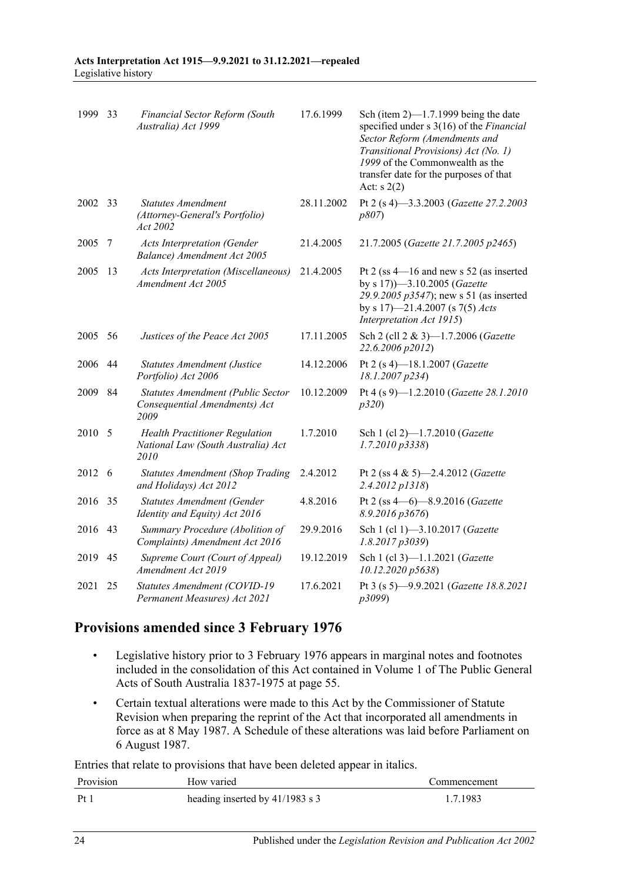| 1999   | 33 | Financial Sector Reform (South<br>Australia) Act 1999                               | 17.6.1999  | Sch (item $2$ )—1.7.1999 being the date<br>specified under s 3(16) of the Financial<br>Sector Reform (Amendments and<br>Transitional Provisions) Act (No. 1)<br>1999 of the Commonwealth as the<br>transfer date for the purposes of that<br>Act: $s(2)$ |
|--------|----|-------------------------------------------------------------------------------------|------------|----------------------------------------------------------------------------------------------------------------------------------------------------------------------------------------------------------------------------------------------------------|
| 2002   | 33 | <b>Statutes Amendment</b><br>(Attorney-General's Portfolio)<br>Act 2002             | 28.11.2002 | Pt 2 (s 4)-3.3.2003 (Gazette 27.2.2003<br>p807                                                                                                                                                                                                           |
| 2005   | 7  | <b>Acts Interpretation (Gender</b><br>Balance) Amendment Act 2005                   | 21.4.2005  | 21.7.2005 (Gazette 21.7.2005 p2465)                                                                                                                                                                                                                      |
| 2005   | 13 | <b>Acts Interpretation (Miscellaneous)</b><br>Amendment Act 2005                    | 21.4.2005  | Pt 2 (ss $4-16$ and new s 52 (as inserted<br>by s 17) -3.10.2005 (Gazette<br>29.9.2005 p3547); new s 51 (as inserted<br>by s 17)-21.4.2007 (s 7(5) Acts<br>Interpretation Act 1915)                                                                      |
| 2005   | 56 | Justices of the Peace Act 2005                                                      | 17.11.2005 | Sch 2 (cll 2 & 3)-1.7.2006 (Gazette<br>22.6.2006 p2012)                                                                                                                                                                                                  |
| 2006   | 44 | Statutes Amendment (Justice<br>Portfolio) Act 2006                                  | 14.12.2006 | Pt 2 (s 4)-18.1.2007 (Gazette<br>18.1.2007 p234)                                                                                                                                                                                                         |
| 2009   | 84 | Statutes Amendment (Public Sector<br>Consequential Amendments) Act<br>2009          | 10.12.2009 | Pt 4 (s 9)-1.2.2010 (Gazette 28.1.2010<br>p320                                                                                                                                                                                                           |
| 2010   | 5  | <b>Health Practitioner Regulation</b><br>National Law (South Australia) Act<br>2010 | 1.7.2010   | Sch 1 (cl 2)-1.7.2010 (Gazette<br>1.7.2010 p3338)                                                                                                                                                                                                        |
| 2012 6 |    | <b>Statutes Amendment (Shop Trading</b><br>and Holidays) Act 2012                   | 2.4.2012   | Pt 2 (ss 4 & 5)-2.4.2012 ( <i>Gazette</i><br>2.4.2012 p1318)                                                                                                                                                                                             |
| 2016   | 35 | Statutes Amendment (Gender<br>Identity and Equity) Act 2016                         | 4.8.2016   | Pt 2 (ss 4-6)-8.9.2016 (Gazette<br>8.9.2016 p3676)                                                                                                                                                                                                       |
| 2016   | 43 | Summary Procedure (Abolition of<br>Complaints) Amendment Act 2016                   | 29.9.2016  | Sch 1 (cl 1)-3.10.2017 (Gazette<br>1.8.2017p3039                                                                                                                                                                                                         |
| 2019   | 45 | Supreme Court (Court of Appeal)<br>Amendment Act 2019                               | 19.12.2019 | Sch 1 (cl 3)-1.1.2021 (Gazette<br>10.12.2020 p5638)                                                                                                                                                                                                      |
| 2021   | 25 | Statutes Amendment (COVID-19<br>Permanent Measures) Act 2021                        | 17.6.2021  | Pt 3 (s 5)-9.9.2021 (Gazette 18.8.2021<br>p3099)                                                                                                                                                                                                         |

# **Provisions amended since 3 February 1976**

- Legislative history prior to 3 February 1976 appears in marginal notes and footnotes included in the consolidation of this Act contained in Volume 1 of The Public General Acts of South Australia 1837-1975 at page 55.
- Certain textual alterations were made to this Act by the Commissioner of Statute Revision when preparing the reprint of the Act that incorporated all amendments in force as at 8 May 1987. A Schedule of these alterations was laid before Parliament on 6 August 1987.

Entries that relate to provisions that have been deleted appear in italics.

| Provision | How varied                      | Commencement |
|-----------|---------------------------------|--------------|
| Pf        | heading inserted by 41/1983 s 3 | 1.7.1983     |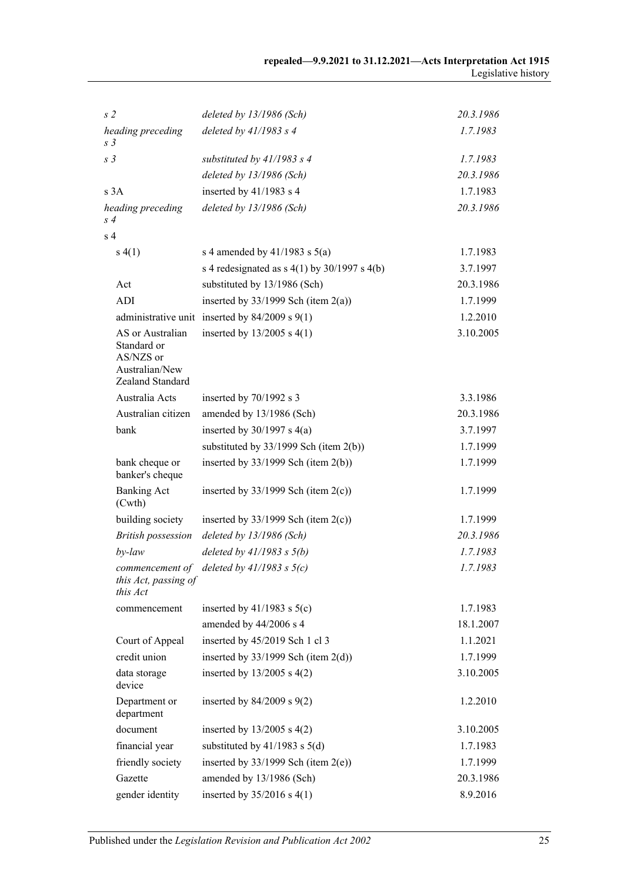| s <sub>2</sub>                                                                     | deleted by 13/1986 (Sch)                           | 20.3.1986 |
|------------------------------------------------------------------------------------|----------------------------------------------------|-----------|
| heading preceding<br>S <sub>3</sub>                                                | deleted by $41/1983$ s 4                           | 1.7.1983  |
| s <sub>3</sub>                                                                     | substituted by $41/1983$ s 4                       | 1.7.1983  |
|                                                                                    | deleted by 13/1986 (Sch)                           | 20.3.1986 |
| s 3A                                                                               | inserted by 41/1983 s 4                            | 1.7.1983  |
| heading preceding<br>s 4                                                           | deleted by 13/1986 (Sch)                           | 20.3.1986 |
| s <sub>4</sub>                                                                     |                                                    |           |
| s(4(1))                                                                            | s 4 amended by $41/1983$ s $5(a)$                  | 1.7.1983  |
|                                                                                    | s 4 redesignated as $s$ 4(1) by 30/1997 s 4(b)     | 3.7.1997  |
| Act                                                                                | substituted by 13/1986 (Sch)                       | 20.3.1986 |
| ADI                                                                                | inserted by $33/1999$ Sch (item $2(a)$ )           | 1.7.1999  |
|                                                                                    | administrative unit inserted by $84/2009$ s $9(1)$ | 1.2.2010  |
| AS or Australian<br>Standard or<br>AS/NZS or<br>Australian/New<br>Zealand Standard | inserted by $13/2005$ s 4(1)                       | 3.10.2005 |
| Australia Acts                                                                     | inserted by $70/1992$ s 3                          | 3.3.1986  |
| Australian citizen                                                                 | amended by 13/1986 (Sch)                           | 20.3.1986 |
| bank                                                                               | inserted by $30/1997$ s $4(a)$                     | 3.7.1997  |
|                                                                                    | substituted by $33/1999$ Sch (item 2(b))           | 1.7.1999  |
| bank cheque or<br>banker's cheque                                                  | inserted by $33/1999$ Sch (item 2(b))              | 1.7.1999  |
| <b>Banking Act</b><br>(Cwth)                                                       | inserted by $33/1999$ Sch (item 2(c))              | 1.7.1999  |
| building society                                                                   | inserted by $33/1999$ Sch (item 2(c))              | 1.7.1999  |
| <b>British possession</b>                                                          | deleted by 13/1986 (Sch)                           | 20.3.1986 |
| by-law                                                                             | deleted by $41/1983$ s $5(b)$                      | 1.7.1983  |
| commencement of<br>this Act, passing of<br>this Act                                | deleted by $41/1983$ s $5(c)$                      | 1.7.1983  |
| commencement                                                                       | inserted by $41/1983$ s $5(c)$                     | 1.7.1983  |
|                                                                                    | amended by 44/2006 s 4                             | 18.1.2007 |
| Court of Appeal                                                                    | inserted by 45/2019 Sch 1 cl 3                     | 1.1.2021  |
| credit union                                                                       | inserted by $33/1999$ Sch (item $2(d)$ )           | 1.7.1999  |
| data storage<br>device                                                             | inserted by $13/2005$ s $4(2)$                     | 3.10.2005 |
| Department or<br>department                                                        | inserted by $84/2009$ s $9(2)$                     | 1.2.2010  |
| document                                                                           | inserted by $13/2005$ s $4(2)$                     | 3.10.2005 |
| financial year                                                                     | substituted by $41/1983$ s $5(d)$                  | 1.7.1983  |
| friendly society                                                                   | inserted by $33/1999$ Sch (item $2(e)$ )           | 1.7.1999  |
| Gazette                                                                            | amended by 13/1986 (Sch)                           | 20.3.1986 |
| gender identity                                                                    | inserted by $35/2016$ s 4(1)                       | 8.9.2016  |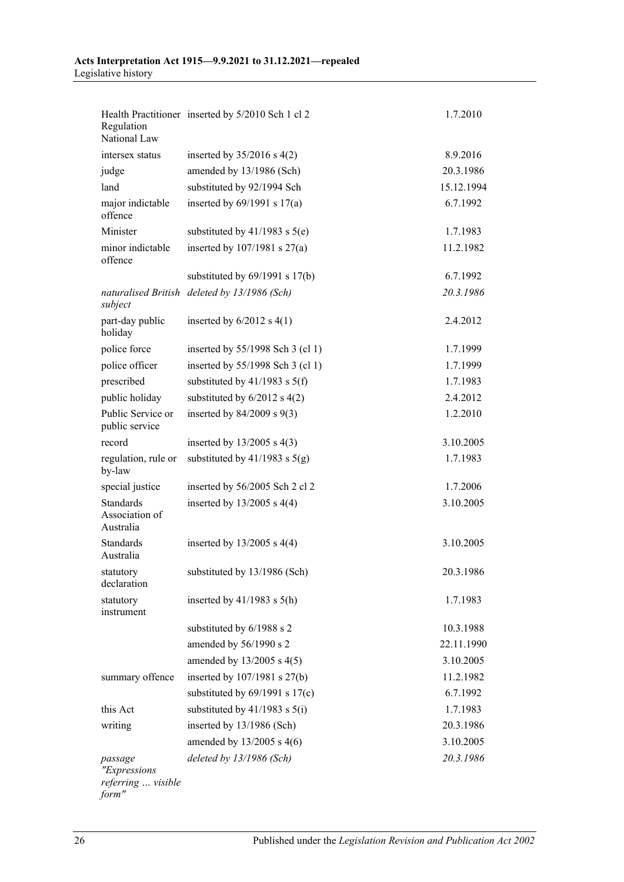| Regulation<br>National Law                             | Health Practitioner inserted by 5/2010 Sch 1 cl 2 | 1.7.2010   |
|--------------------------------------------------------|---------------------------------------------------|------------|
| intersex status                                        | inserted by $35/2016$ s 4(2)                      | 8.9.2016   |
| judge                                                  | amended by 13/1986 (Sch)                          | 20.3.1986  |
| land                                                   | substituted by 92/1994 Sch                        | 15.12.1994 |
| major indictable<br>offence                            | inserted by $69/1991$ s $17(a)$                   | 6.7.1992   |
| Minister                                               | substituted by $41/1983$ s $5(e)$                 | 1.7.1983   |
| minor indictable<br>offence                            | inserted by $107/1981$ s $27(a)$                  | 11.2.1982  |
|                                                        | substituted by $69/1991$ s $17(b)$                | 6.7.1992   |
| subject                                                | naturalised British deleted by 13/1986 (Sch)      | 20.3.1986  |
| part-day public<br>holiday                             | inserted by $6/2012$ s $4(1)$                     | 2.4.2012   |
| police force                                           | inserted by 55/1998 Sch 3 (cl 1)                  | 1.7.1999   |
| police officer                                         | inserted by 55/1998 Sch 3 (cl 1)                  | 1.7.1999   |
| prescribed                                             | substituted by $41/1983$ s $5(f)$                 | 1.7.1983   |
| public holiday                                         | substituted by $6/2012$ s $4(2)$                  | 2.4.2012   |
| Public Service or<br>public service                    | inserted by $84/2009$ s $9(3)$                    | 1.2.2010   |
| record                                                 | inserted by $13/2005$ s 4(3)                      | 3.10.2005  |
| regulation, rule or<br>by-law                          | substituted by $41/1983$ s $5(g)$                 | 1.7.1983   |
| special justice                                        | inserted by 56/2005 Sch 2 cl 2                    | 1.7.2006   |
| Standards<br>Association of<br>Australia               | inserted by $13/2005$ s 4(4)                      | 3.10.2005  |
| <b>Standards</b><br>Australia                          | inserted by $13/2005$ s $4(4)$                    | 3.10.2005  |
| statutory<br>declaration                               | substituted by 13/1986 (Sch)                      | 20.3.1986  |
| statutory<br>instrument                                | inserted by $41/1983$ s $5(h)$                    | 1.7.1983   |
|                                                        | substituted by 6/1988 s 2                         | 10.3.1988  |
|                                                        | amended by 56/1990 s 2                            | 22.11.1990 |
|                                                        | amended by $13/2005$ s 4(5)                       | 3.10.2005  |
| summary offence                                        | inserted by 107/1981 s 27(b)                      | 11.2.1982  |
|                                                        | substituted by $69/1991$ s $17(c)$                | 6.7.1992   |
| this Act                                               | substituted by $41/1983$ s $5(i)$                 | 1.7.1983   |
| writing                                                | inserted by 13/1986 (Sch)                         | 20.3.1986  |
|                                                        | amended by $13/2005$ s 4(6)                       | 3.10.2005  |
| passage<br>"Expressions<br>referring  visible<br>form" | deleted by 13/1986 (Sch)                          | 20.3.1986  |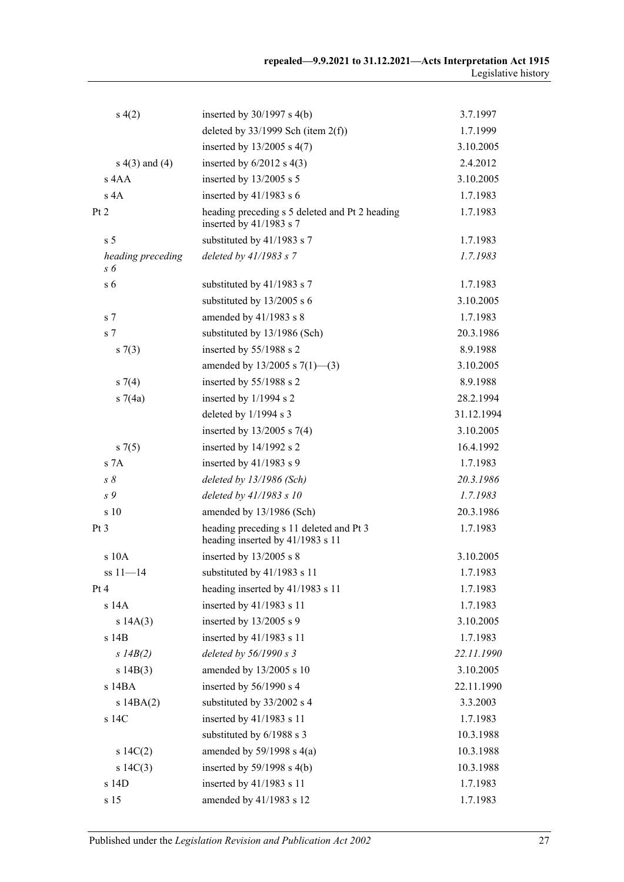| s(4(2)                   | inserted by $30/1997$ s $4(b)$                                              | 3.7.1997   |
|--------------------------|-----------------------------------------------------------------------------|------------|
|                          | deleted by $33/1999$ Sch (item 2(f))                                        | 1.7.1999   |
|                          | inserted by $13/2005$ s 4(7)                                                | 3.10.2005  |
| $s(4)$ and $(4)$         | inserted by $6/2012$ s $4(3)$                                               | 2.4.2012   |
| s 4AA                    | inserted by $13/2005$ s 5                                                   | 3.10.2005  |
| s 4A                     | inserted by $41/1983$ s 6                                                   | 1.7.1983   |
| Pt 2                     | heading preceding s 5 deleted and Pt 2 heading<br>inserted by 41/1983 s 7   | 1.7.1983   |
| s <sub>5</sub>           | substituted by 41/1983 s 7                                                  | 1.7.1983   |
| heading preceding<br>s 6 | deleted by 41/1983 s 7                                                      | 1.7.1983   |
| s <sub>6</sub>           | substituted by 41/1983 s 7                                                  | 1.7.1983   |
|                          | substituted by 13/2005 s 6                                                  | 3.10.2005  |
| s <sub>7</sub>           | amended by 41/1983 s 8                                                      | 1.7.1983   |
| s <sub>7</sub>           | substituted by 13/1986 (Sch)                                                | 20.3.1986  |
| s(7(3))                  | inserted by 55/1988 s 2                                                     | 8.9.1988   |
|                          | amended by $13/2005$ s $7(1)$ —(3)                                          | 3.10.2005  |
| $s \, 7(4)$              | inserted by 55/1988 s 2                                                     | 8.9.1988   |
| s7(4a)                   | inserted by 1/1994 s 2                                                      | 28.2.1994  |
|                          | deleted by 1/1994 s 3                                                       | 31.12.1994 |
|                          | inserted by $13/2005$ s $7(4)$                                              | 3.10.2005  |
| $s \, 7(5)$              | inserted by 14/1992 s 2                                                     | 16.4.1992  |
| s 7A                     | inserted by 41/1983 s 9                                                     | 1.7.1983   |
| $s \, \delta$            | deleted by 13/1986 (Sch)                                                    | 20.3.1986  |
| s 9                      | deleted by 41/1983 s 10                                                     | 1.7.1983   |
| s 10                     | amended by 13/1986 (Sch)                                                    | 20.3.1986  |
| Pt <sub>3</sub>          | heading preceding s 11 deleted and Pt 3<br>heading inserted by 41/1983 s 11 | 1.7.1983   |
| s 10A                    | inserted by 13/2005 s 8                                                     | 3.10.2005  |
| $ss 11 - 14$             | substituted by 41/1983 s 11                                                 | 1.7.1983   |
| Pt 4                     | heading inserted by 41/1983 s 11                                            | 1.7.1983   |
| s 14A                    | inserted by 41/1983 s 11                                                    | 1.7.1983   |
| s 14A(3)                 | inserted by 13/2005 s 9                                                     | 3.10.2005  |
| s 14B                    | inserted by 41/1983 s 11                                                    | 1.7.1983   |
| $s$ 14B(2)               | deleted by $56/1990 s$ 3                                                    | 22.11.1990 |
| s 14B(3)                 | amended by 13/2005 s 10                                                     | 3.10.2005  |
| s 14BA                   | inserted by 56/1990 s 4                                                     | 22.11.1990 |
| $s$ 14BA $(2)$           | substituted by 33/2002 s 4                                                  | 3.3.2003   |
| s 14C                    | inserted by 41/1983 s 11                                                    | 1.7.1983   |
|                          | substituted by 6/1988 s 3                                                   | 10.3.1988  |
| $s \ 14C(2)$             | amended by $59/1998$ s $4(a)$                                               | 10.3.1988  |
| $s\ 14C(3)$              | inserted by $59/1998$ s $4(b)$                                              | 10.3.1988  |
| s 14D                    | inserted by 41/1983 s 11                                                    | 1.7.1983   |
| s 15                     | amended by 41/1983 s 12                                                     | 1.7.1983   |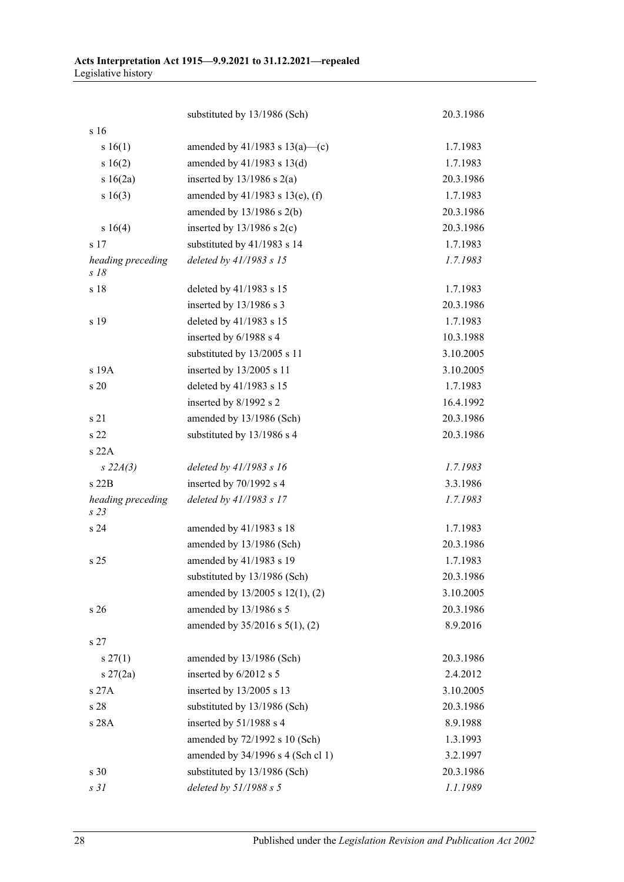|                                      | substituted by 13/1986 (Sch)         | 20.3.1986 |
|--------------------------------------|--------------------------------------|-----------|
| s 16                                 |                                      |           |
| s 16(1)                              | amended by 41/1983 s 13(a)—(c)       | 1.7.1983  |
| s16(2)                               | amended by $41/1983$ s $13(d)$       | 1.7.1983  |
| s 16(2a)                             | inserted by $13/1986$ s $2(a)$       | 20.3.1986 |
| s 16(3)                              | amended by $41/1983$ s $13(e)$ , (f) | 1.7.1983  |
|                                      | amended by $13/1986$ s $2(b)$        | 20.3.1986 |
| s 16(4)                              | inserted by $13/1986$ s $2(c)$       | 20.3.1986 |
| s <sub>17</sub>                      | substituted by 41/1983 s 14          | 1.7.1983  |
| heading preceding<br>$s$ 18          | deleted by 41/1983 s 15              | 1.7.1983  |
| s 18                                 | deleted by 41/1983 s 15              | 1.7.1983  |
|                                      | inserted by 13/1986 s 3              | 20.3.1986 |
| s 19                                 | deleted by 41/1983 s 15              | 1.7.1983  |
|                                      | inserted by 6/1988 s 4               | 10.3.1988 |
|                                      | substituted by 13/2005 s 11          | 3.10.2005 |
| s 19A                                | inserted by 13/2005 s 11             | 3.10.2005 |
| s 20                                 | deleted by 41/1983 s 15              | 1.7.1983  |
|                                      | inserted by 8/1992 s 2               | 16.4.1992 |
| s 21                                 | amended by 13/1986 (Sch)             | 20.3.1986 |
| s 22                                 | substituted by 13/1986 s 4           | 20.3.1986 |
| s 22A                                |                                      |           |
| $s\,22A(3)$                          | deleted by $41/1983$ s 16            | 1.7.1983  |
| $s$ 22 $B$                           | inserted by 70/1992 s 4              | 3.3.1986  |
| heading preceding<br>s <sub>23</sub> | deleted by 41/1983 s 17              | 1.7.1983  |
| s 24                                 | amended by 41/1983 s 18              | 1.7.1983  |
|                                      | amended by 13/1986 (Sch)             | 20.3.1986 |
| s <sub>25</sub>                      | amended by 41/1983 s 19              | 1.7.1983  |
|                                      | substituted by 13/1986 (Sch)         | 20.3.1986 |
|                                      | amended by 13/2005 s 12(1), (2)      | 3.10.2005 |
| s <sub>26</sub>                      | amended by 13/1986 s 5               | 20.3.1986 |
|                                      | amended by 35/2016 s 5(1), (2)       | 8.9.2016  |
| s 27                                 |                                      |           |
| $s \, 27(1)$                         | amended by 13/1986 (Sch)             | 20.3.1986 |
| $s \, 27(2a)$                        | inserted by 6/2012 s 5               | 2.4.2012  |
| s 27A                                | inserted by 13/2005 s 13             | 3.10.2005 |
| s 28                                 | substituted by 13/1986 (Sch)         | 20.3.1986 |
| s 28A                                | inserted by 51/1988 s 4              | 8.9.1988  |
|                                      | amended by 72/1992 s 10 (Sch)        | 1.3.1993  |
|                                      | amended by 34/1996 s 4 (Sch cl 1)    | 3.2.1997  |
| s 30                                 | substituted by 13/1986 (Sch)         | 20.3.1986 |
| s <sub>31</sub>                      | deleted by $51/1988 s 5$             | 1.1.1989  |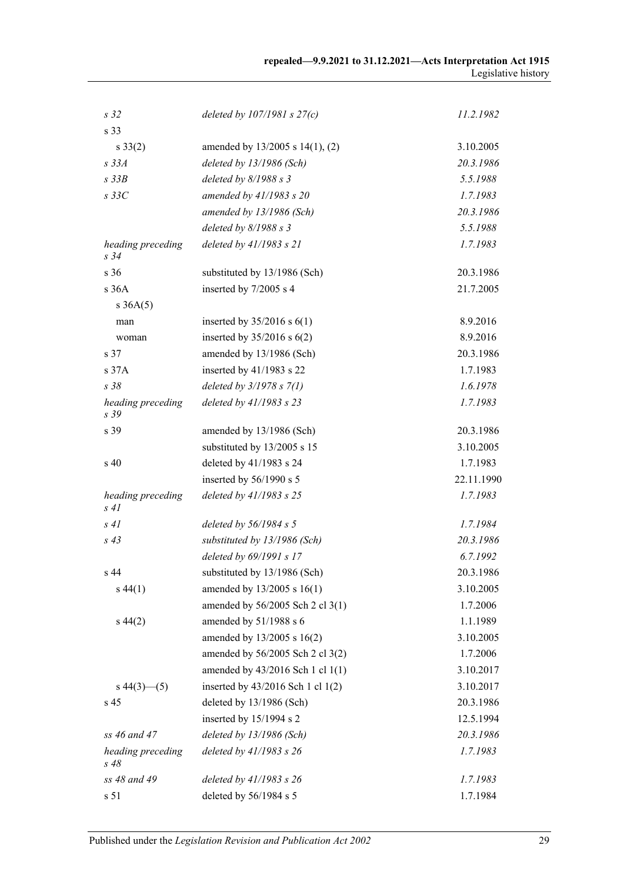| s <sub>32</sub>              | deleted by $107/1981 s 27(c)$     | 11.2.1982  |
|------------------------------|-----------------------------------|------------|
| s 33                         |                                   |            |
| $s \, 33(2)$                 | amended by 13/2005 s 14(1), (2)   | 3.10.2005  |
| $s$ 33 $A$                   | deleted by 13/1986 (Sch)          | 20.3.1986  |
| $s$ 33 $B$                   | deleted by 8/1988 s 3             | 5.5.1988   |
| $s$ 33 $C$                   | amended by 41/1983 s 20           | 1.7.1983   |
|                              | amended by 13/1986 (Sch)          | 20.3.1986  |
|                              | deleted by 8/1988 s 3             | 5.5.1988   |
| heading preceding<br>$s\,34$ | deleted by $41/1983 s 21$         | 1.7.1983   |
| s 36                         | substituted by 13/1986 (Sch)      | 20.3.1986  |
| s 36A                        | inserted by 7/2005 s 4            | 21.7.2005  |
| $s \, 36A(5)$                |                                   |            |
| man                          | inserted by $35/2016$ s $6(1)$    | 8.9.2016   |
| woman                        | inserted by $35/2016$ s $6(2)$    | 8.9.2016   |
| s 37                         | amended by 13/1986 (Sch)          | 20.3.1986  |
| s 37A                        | inserted by 41/1983 s 22          | 1.7.1983   |
| s 38                         | deleted by $3/1978 s 7(1)$        | 1.6.1978   |
| heading preceding<br>s 39    | deleted by 41/1983 s 23           | 1.7.1983   |
| s 39                         | amended by 13/1986 (Sch)          | 20.3.1986  |
|                              | substituted by 13/2005 s 15       | 3.10.2005  |
| $\sin 40$                    | deleted by 41/1983 s 24           | 1.7.1983   |
|                              | inserted by 56/1990 s 5           | 22.11.1990 |
| heading preceding<br>s41     | deleted by 41/1983 s 25           | 1.7.1983   |
| s41                          | deleted by $56/1984 s 5$          | 1.7.1984   |
| $s$ 43                       | substituted by 13/1986 (Sch)      | 20.3.1986  |
|                              | deleted by 69/1991 s 17           | 6.7.1992   |
| s 44                         | substituted by 13/1986 (Sch)      | 20.3.1986  |
| $s\,44(1)$                   | amended by $13/2005$ s $16(1)$    | 3.10.2005  |
|                              | amended by 56/2005 Sch 2 cl 3(1)  | 1.7.2006   |
| $s\,44(2)$                   | amended by 51/1988 s 6            | 1.1.1989   |
|                              | amended by 13/2005 s 16(2)        | 3.10.2005  |
|                              | amended by 56/2005 Sch 2 cl 3(2)  | 1.7.2006   |
|                              | amended by 43/2016 Sch 1 cl 1(1)  | 3.10.2017  |
| $s\,44(3)$ (5)               | inserted by 43/2016 Sch 1 cl 1(2) | 3.10.2017  |
| s 45                         | deleted by 13/1986 (Sch)          | 20.3.1986  |
|                              | inserted by 15/1994 s 2           | 12.5.1994  |
| ss 46 and 47                 | deleted by 13/1986 (Sch)          | 20.3.1986  |
| heading preceding<br>$s\,48$ | deleted by 41/1983 s 26           | 1.7.1983   |
| ss 48 and 49                 | deleted by 41/1983 s 26           | 1.7.1983   |
| s 51                         | deleted by 56/1984 s 5            | 1.7.1984   |